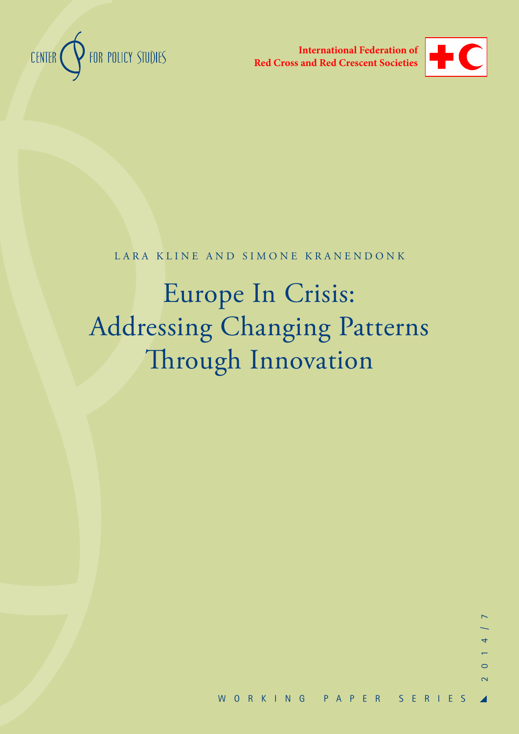

W O R K I N G P A P E R S E R I E S



# LARA KLINE AND SIMONE KRANENDONK

# Europe In Crisis: Addressing Changing Patterns Through Innovation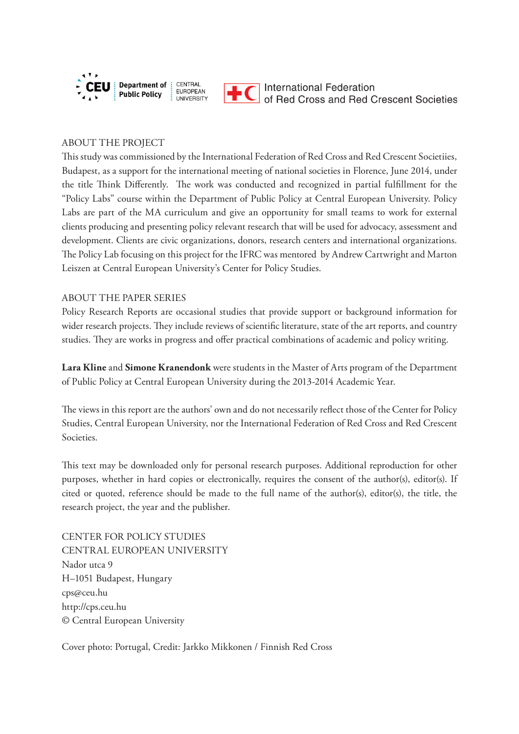



Thernational Federation<br>Theory of Red Cross and Red Crescent Societies

# ABOUT THE PROJECT

This study was commissioned by the International Federation of Red Cross and Red Crescent Societiies, Budapest, as a support for the international meeting of national societies in Florence, June 2014, under the title Think Differently. The work was conducted and recognized in partial fulfillment for the "Policy Labs" course within the Department of Public Policy at Central European University. Policy Labs are part of the MA curriculum and give an opportunity for small teams to work for external clients producing and presenting policy relevant research that will be used for advocacy, assessment and development. Clients are civic organizations, donors, research centers and international organizations. The Policy Lab focusing on this project for the IFRC was mentored by Andrew Cartwright and Marton Leiszen at Central European University's Center for Policy Studies.

# ABOUT THE PAPER SERIES

Policy Research Reports are occasional studies that provide support or background information for wider research projects. They include reviews of scientific literature, state of the art reports, and country studies. They are works in progress and offer practical combinations of academic and policy writing.

**Lara Kline** and **Simone Kranendonk** were students in the Master of Arts program of the Department of Public Policy at Central European University during the 2013-2014 Academic Year.

The views in this report are the authors' own and do not necessarily reflect those of the Center for Policy Studies, Central European University, nor the International Federation of Red Cross and Red Crescent Societies.

This text may be downloaded only for personal research purposes. Additional reproduction for other purposes, whether in hard copies or electronically, requires the consent of the author(s), editor(s). If cited or quoted, reference should be made to the full name of the author(s), editor(s), the title, the research project, the year and the publisher.

CENTER FOR POLICY STUDIES CENTRAL EUROPEAN UNIVERSITY Nador utca 9 H–1051 Budapest, Hungary cps@ceu.hu http://cps.ceu.hu © Central European University

Cover photo: Portugal, Credit: Jarkko Mikkonen / Finnish Red Cross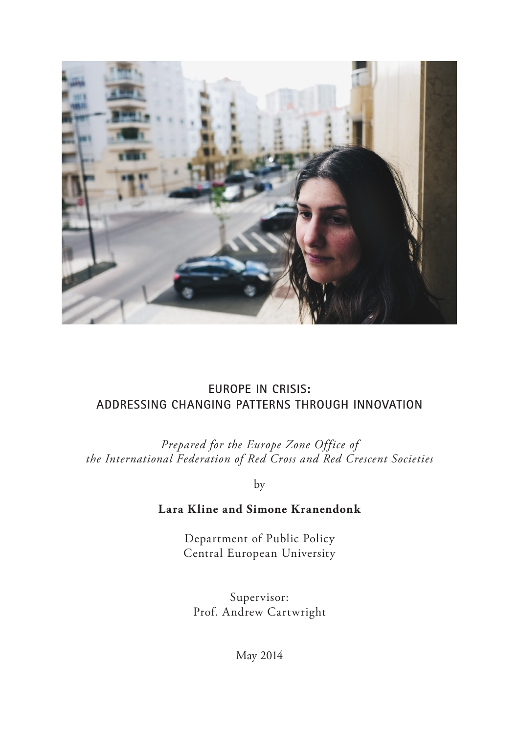

# **EUROPE IN CRISIS: ADDRESSING CHANGING PATTERNS THROUGH INNOVATION**

*Prepared for the Europe Zone Office of the International Federation of Red Cross and Red Crescent Societies*

by

# **Lara Kline and Simone Kranendonk**

Department of Public Policy Central European University

Supervisor: Prof. Andrew Cartwright

May 2014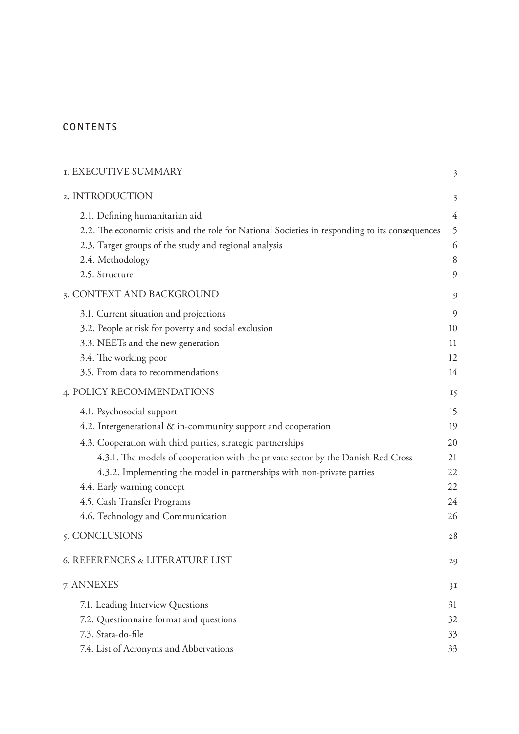# **CONTENTS**

| <b>I. EXECUTIVE SUMMARY</b>                                                                    | $\mathfrak{Z}$ |
|------------------------------------------------------------------------------------------------|----------------|
| 2. INTRODUCTION                                                                                | 3              |
| 2.1. Defining humanitarian aid                                                                 | 4              |
| 2.2. The economic crisis and the role for National Societies in responding to its consequences | 5              |
| 2.3. Target groups of the study and regional analysis                                          | 6              |
| 2.4. Methodology                                                                               | $8\,$          |
| 2.5. Structure                                                                                 | 9              |
| 3. CONTEXT AND BACKGROUND                                                                      | 9              |
| 3.1. Current situation and projections                                                         | 9              |
| 3.2. People at risk for poverty and social exclusion                                           | 10             |
| 3.3. NEETs and the new generation                                                              | 11             |
| 3.4. The working poor                                                                          | 12             |
| 3.5. From data to recommendations                                                              | 14             |
| 4. POLICY RECOMMENDATIONS                                                                      | 15             |
| 4.1. Psychosocial support                                                                      | 15             |
| 4.2. Intergenerational & in-community support and cooperation                                  | 19             |
| 4.3. Cooperation with third parties, strategic partnerships                                    | 20             |
| 4.3.1. The models of cooperation with the private sector by the Danish Red Cross               | 21             |
| 4.3.2. Implementing the model in partnerships with non-private parties                         | 22             |
| 4.4. Early warning concept                                                                     | 22             |
| 4.5. Cash Transfer Programs                                                                    | 24             |
| 4.6. Technology and Communication                                                              | 26             |
| 5. CONCLUSIONS                                                                                 | 28             |
| 6. REFERENCES & LITERATURE LIST                                                                | 29             |
| 7. ANNEXES                                                                                     | 3I             |
| 7.1. Leading Interview Questions                                                               | 31             |
| 7.2. Questionnaire format and questions                                                        | 32             |
| 7.3. Stata-do-file                                                                             | 33             |
| 7.4. List of Acronyms and Abbervations                                                         | 33             |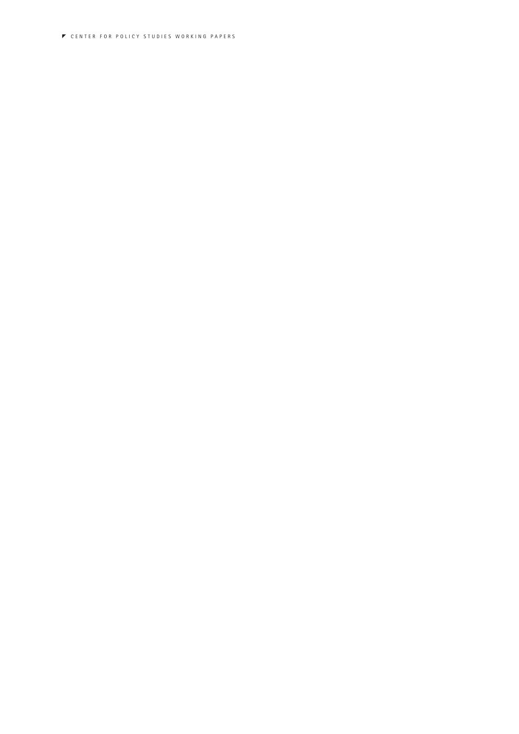#### CENTER FOR POLICY STUDIES WORKING PAPERS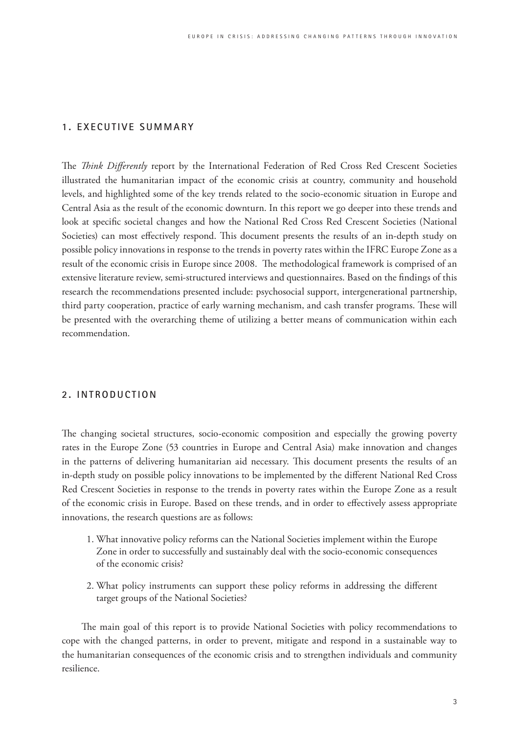## <span id="page-5-0"></span>**1. EXECUTIVE SUMMARY**

The *Think Differently* report by the International Federation of Red Cross Red Crescent Societies illustrated the humanitarian impact of the economic crisis at country, community and household levels, and highlighted some of the key trends related to the socio-economic situation in Europe and Central Asia as the result of the economic downturn. In this report we go deeper into these trends and look at specific societal changes and how the National Red Cross Red Crescent Societies (National Societies) can most effectively respond. This document presents the results of an in-depth study on possible policy innovations in response to the trends in poverty rates within the IFRC Europe Zone as a result of the economic crisis in Europe since 2008. The methodological framework is comprised of an extensive literature review, semi-structured interviews and questionnaires. Based on the findings of this research the recommendations presented include: psychosocial support, intergenerational partnership, third party cooperation, practice of early warning mechanism, and cash transfer programs. These will be presented with the overarching theme of utilizing a better means of communication within each recommendation.

### **2. INTRODUCTION**

The changing societal structures, socio-economic composition and especially the growing poverty rates in the Europe Zone (53 countries in Europe and Central Asia) make innovation and changes in the patterns of delivering humanitarian aid necessary. This document presents the results of an in-depth study on possible policy innovations to be implemented by the different National Red Cross Red Crescent Societies in response to the trends in poverty rates within the Europe Zone as a result of the economic crisis in Europe. Based on these trends, and in order to effectively assess appropriate innovations, the research questions are as follows:

- 1. What innovative policy reforms can the National Societies implement within the Europe Zone in order to successfully and sustainably deal with the socio-economic consequences of the economic crisis?
- 2. What policy instruments can support these policy reforms in addressing the different target groups of the National Societies?

The main goal of this report is to provide National Societies with policy recommendations to cope with the changed patterns, in order to prevent, mitigate and respond in a sustainable way to the humanitarian consequences of the economic crisis and to strengthen individuals and community resilience.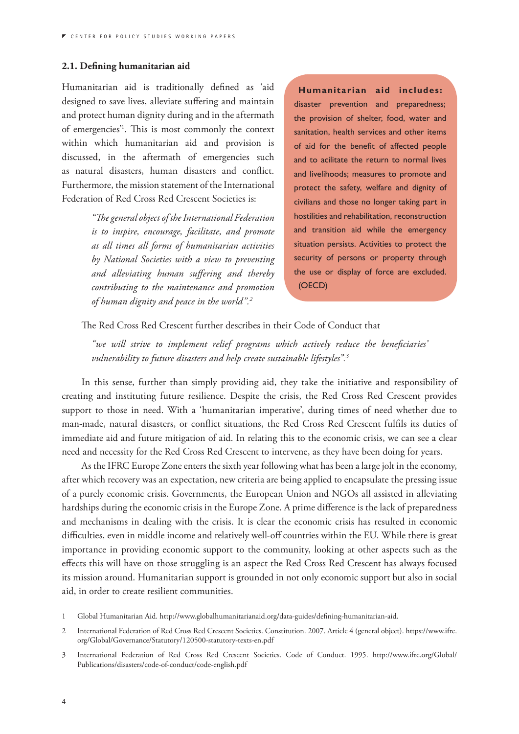#### <span id="page-6-0"></span>**2.1. Defining humanitarian aid**

Humanitarian aid is traditionally defined as 'aid designed to save lives, alleviate suffering and maintain and protect human dignity during and in the aftermath of emergencies'1 . This is most commonly the context within which humanitarian aid and provision is discussed, in the aftermath of emergencies such as natural disasters, human disasters and conflict. Furthermore, the mission statement of the International Federation of Red Cross Red Crescent Societies is:

> *"The general object of the International Federation is to inspire, encourage, facilitate, and promote at all times all forms of humanitarian activities by National Societies with a view to preventing and alleviating human suffering and thereby contributing to the maintenance and promotion of human dignity and peace in the world".2*

**Humanitarian aid includes:**  disaster prevention and preparedness; the provision of shelter, food, water and sanitation, health services and other items of aid for the benefit of affected people and to acilitate the return to normal lives and livelihoods; measures to promote and protect the safety, welfare and dignity of civilians and those no longer taking part in hostilities and rehabilitation, reconstruction and transition aid while the emergency situation persists. Activities to protect the security of persons or property through the use or display of force are excluded. (OECD)

The Red Cross Red Crescent further describes in their Code of Conduct that

*"we will strive to implement relief programs which actively reduce the beneficiaries' vulnerability to future disasters and help create sustainable lifestyles".3*

In this sense, further than simply providing aid, they take the initiative and responsibility of creating and instituting future resilience. Despite the crisis, the Red Cross Red Crescent provides support to those in need. With a 'humanitarian imperative', during times of need whether due to man-made, natural disasters, or conflict situations, the Red Cross Red Crescent fulfils its duties of immediate aid and future mitigation of aid. In relating this to the economic crisis, we can see a clear need and necessity for the Red Cross Red Crescent to intervene, as they have been doing for years.

As the IFRC Europe Zone enters the sixth year following what has been a large jolt in the economy, after which recovery was an expectation, new criteria are being applied to encapsulate the pressing issue of a purely economic crisis. Governments, the European Union and NGOs all assisted in alleviating hardships during the economic crisis in the Europe Zone. A prime difference is the lack of preparedness and mechanisms in dealing with the crisis. It is clear the economic crisis has resulted in economic difficulties, even in middle income and relatively well-off countries within the EU. While there is great importance in providing economic support to the community, looking at other aspects such as the effects this will have on those struggling is an aspect the Red Cross Red Crescent has always focused its mission around. Humanitarian support is grounded in not only economic support but also in social aid, in order to create resilient communities.

2 International Federation of Red Cross Red Crescent Societies. Constitution. 2007. Article 4 (general object). https://www.ifrc. org/Global/Governance/Statutory/120500-statutory-texts-en.pdf

3 International Federation of Red Cross Red Crescent Societies. Code of Conduct. 1995. http://www.ifrc.org/Global/ Publications/disasters/code-of-conduct/code-english.pdf

<sup>1</sup> Global Humanitarian Aid. http://www.globalhumanitarianaid.org/data-guides/defining-humanitarian-aid.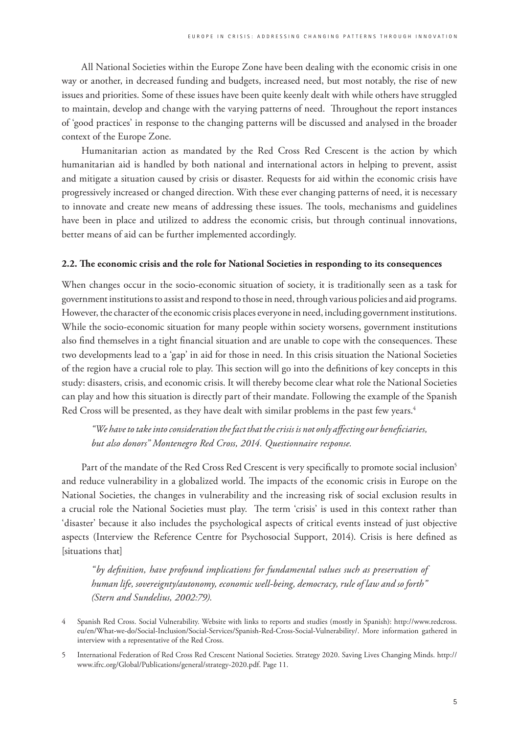<span id="page-7-0"></span>All National Societies within the Europe Zone have been dealing with the economic crisis in one way or another, in decreased funding and budgets, increased need, but most notably, the rise of new issues and priorities. Some of these issues have been quite keenly dealt with while others have struggled to maintain, develop and change with the varying patterns of need. Throughout the report instances of 'good practices' in response to the changing patterns will be discussed and analysed in the broader context of the Europe Zone.

Humanitarian action as mandated by the Red Cross Red Crescent is the action by which humanitarian aid is handled by both national and international actors in helping to prevent, assist and mitigate a situation caused by crisis or disaster. Requests for aid within the economic crisis have progressively increased or changed direction. With these ever changing patterns of need, it is necessary to innovate and create new means of addressing these issues. The tools, mechanisms and guidelines have been in place and utilized to address the economic crisis, but through continual innovations, better means of aid can be further implemented accordingly.

#### **2.2. The economic crisis and the role for National Societies in responding to its consequences**

When changes occur in the socio-economic situation of society, it is traditionally seen as a task for government institutions to assist and respond to those in need, through various policies and aid programs. However, the character of the economic crisis places everyone in need, including government institutions. While the socio-economic situation for many people within society worsens, government institutions also find themselves in a tight financial situation and are unable to cope with the consequences. These two developments lead to a 'gap' in aid for those in need. In this crisis situation the National Societies of the region have a crucial role to play. This section will go into the definitions of key concepts in this study: disasters, crisis, and economic crisis. It will thereby become clear what role the National Societies can play and how this situation is directly part of their mandate. Following the example of the Spanish Red Cross will be presented, as they have dealt with similar problems in the past few years.<sup>4</sup>

*"We have to take into consideration the fact that the crisis is not only affecting our beneficiaries, but also donors" Montenegro Red Cross, 2014. Questionnaire response.*

Part of the mandate of the Red Cross Red Crescent is very specifically to promote social inclusion<sup>5</sup> and reduce vulnerability in a globalized world. The impacts of the economic crisis in Europe on the National Societies, the changes in vulnerability and the increasing risk of social exclusion results in a crucial role the National Societies must play. The term 'crisis' is used in this context rather than 'disaster' because it also includes the psychological aspects of critical events instead of just objective aspects (Interview the Reference Centre for Psychosocial Support, 2014). Crisis is here defined as [situations that]

*"by definition, have profound implications for fundamental values such as preservation of human life, sovereignty/autonomy, economic well-being, democracy, rule of law and so forth" (Stern and Sundelius, 2002:79).* 

<sup>4</sup> Spanish Red Cross. Social Vulnerability. Website with links to reports and studies (mostly in Spanish): [http://www.redcross.](http://www.redcross.eu/en/What-we-do/Social-Inclusion/Social-Services/Spanish-Red-Cross-Social-Vulnerability/) [eu/en/What-we-do/Social-Inclusion/Social-Services/Spanish-Red-Cross-Social-Vulnerability/](http://www.redcross.eu/en/What-we-do/Social-Inclusion/Social-Services/Spanish-Red-Cross-Social-Vulnerability/). More information gathered in interview with a representative of the Red Cross.

<sup>5</sup> International Federation of Red Cross Red Crescent National Societies. Strategy 2020. Saving Lives Changing Minds. [http://](http://www.ifrc.org/Global/Publications/general/strategy-2020.pdf) [www.ifrc.org/Global/Publications/general/strategy-2020.pdf](http://www.ifrc.org/Global/Publications/general/strategy-2020.pdf). Page 11.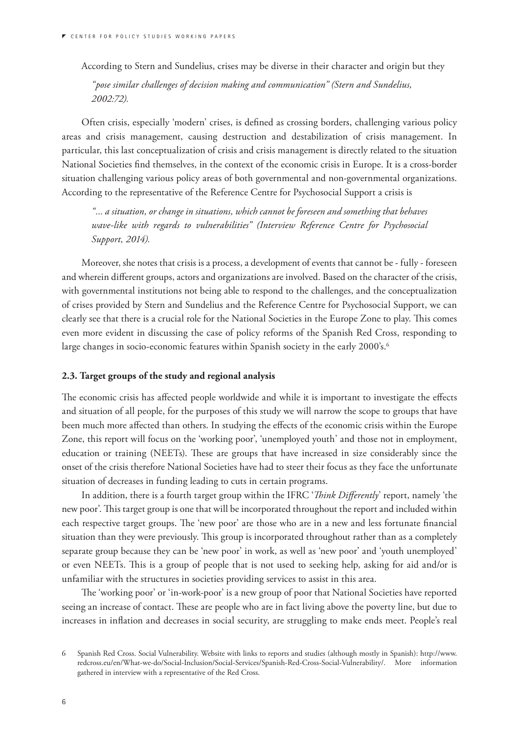<span id="page-8-0"></span>According to Stern and Sundelius, crises may be diverse in their character and origin but they

*"pose similar challenges of decision making and communication" (Stern and Sundelius, 2002:72).*

Often crisis, especially 'modern' crises, is defined as crossing borders, challenging various policy areas and crisis management, causing destruction and destabilization of crisis management. In particular, this last conceptualization of crisis and crisis management is directly related to the situation National Societies find themselves, in the context of the economic crisis in Europe. It is a cross-border situation challenging various policy areas of both governmental and non-governmental organizations. According to the representative of the Reference Centre for Psychosocial Support a crisis is

*"... a situation, or change in situations, which cannot be foreseen and something that behaves wave-like with regards to vulnerabilities" (Interview Reference Centre for Psychosocial Support, 2014).* 

Moreover, she notes that crisis is a process, a development of events that cannot be - fully - foreseen and wherein different groups, actors and organizations are involved. Based on the character of the crisis, with governmental institutions not being able to respond to the challenges, and the conceptualization of crises provided by Stern and Sundelius and the Reference Centre for Psychosocial Support, we can clearly see that there is a crucial role for the National Societies in the Europe Zone to play. This comes even more evident in discussing the case of policy reforms of the Spanish Red Cross, responding to large changes in socio-economic features within Spanish society in the early 2000's.<sup>6</sup>

#### **2.3. Target groups of the study and regional analysis**

The economic crisis has affected people worldwide and while it is important to investigate the effects and situation of all people, for the purposes of this study we will narrow the scope to groups that have been much more affected than others. In studying the effects of the economic crisis within the Europe Zone, this report will focus on the 'working poor', 'unemployed youth' and those not in employment, education or training (NEETs). These are groups that have increased in size considerably since the onset of the crisis therefore National Societies have had to steer their focus as they face the unfortunate situation of decreases in funding leading to cuts in certain programs.

In addition, there is a fourth target group within the IFRC '*Think Differently*' report, namely 'the new poor'. This target group is one that will be incorporated throughout the report and included within each respective target groups. The 'new poor' are those who are in a new and less fortunate financial situation than they were previously. This group is incorporated throughout rather than as a completely separate group because they can be 'new poor' in work, as well as 'new poor' and 'youth unemployed' or even NEETs. This is a group of people that is not used to seeking help, asking for aid and/or is unfamiliar with the structures in societies providing services to assist in this area.

The 'working poor' or 'in-work-poor' is a new group of poor that National Societies have reported seeing an increase of contact. These are people who are in fact living above the poverty line, but due to increases in inflation and decreases in social security, are struggling to make ends meet. People's real

<sup>6</sup> Spanish Red Cross. Social Vulnerability. Website with links to reports and studies (although mostly in Spanish): [http://www.](http://www.redcross.eu/en/What-we-do/Social-Inclusion/Social-Services/Spanish-Red-Cross-Social-Vulnerability/) [redcross.eu/en/What-we-do/Social-Inclusion/Social-Services/Spanish-Red-Cross-Social-Vulnerability/](http://www.redcross.eu/en/What-we-do/Social-Inclusion/Social-Services/Spanish-Red-Cross-Social-Vulnerability/). More information gathered in interview with a representative of the Red Cross.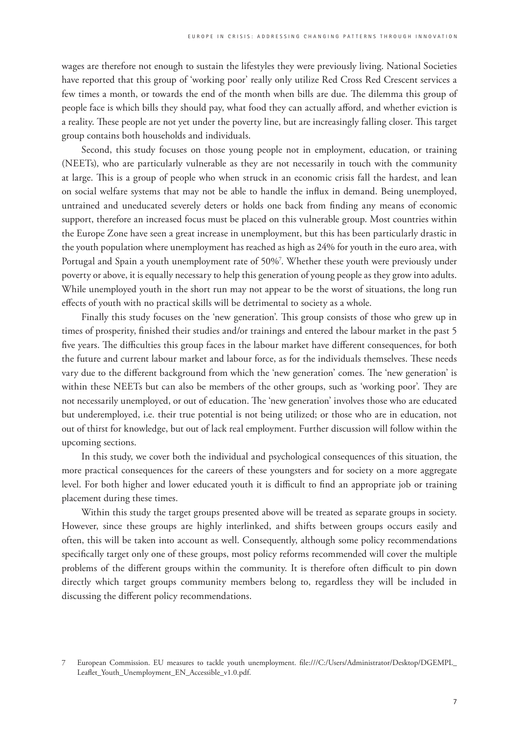wages are therefore not enough to sustain the lifestyles they were previously living. National Societies have reported that this group of 'working poor' really only utilize Red Cross Red Crescent services a few times a month, or towards the end of the month when bills are due. The dilemma this group of people face is which bills they should pay, what food they can actually afford, and whether eviction is a reality. These people are not yet under the poverty line, but are increasingly falling closer. This target group contains both households and individuals.

Second, this study focuses on those young people not in employment, education, or training (NEETs), who are particularly vulnerable as they are not necessarily in touch with the community at large. This is a group of people who when struck in an economic crisis fall the hardest, and lean on social welfare systems that may not be able to handle the influx in demand. Being unemployed, untrained and uneducated severely deters or holds one back from finding any means of economic support, therefore an increased focus must be placed on this vulnerable group. Most countries within the Europe Zone have seen a great increase in unemployment, but this has been particularly drastic in the youth population where unemployment has reached as high as 24% for youth in the euro area, with Portugal and Spain a youth unemployment rate of 50%7 . Whether these youth were previously under poverty or above, it is equally necessary to help this generation of young people as they grow into adults. While unemployed youth in the short run may not appear to be the worst of situations, the long run effects of youth with no practical skills will be detrimental to society as a whole.

Finally this study focuses on the 'new generation'. This group consists of those who grew up in times of prosperity, finished their studies and/or trainings and entered the labour market in the past 5 five years. The difficulties this group faces in the labour market have different consequences, for both the future and current labour market and labour force, as for the individuals themselves. These needs vary due to the different background from which the 'new generation' comes. The 'new generation' is within these NEETs but can also be members of the other groups, such as 'working poor'. They are not necessarily unemployed, or out of education. The 'new generation' involves those who are educated but underemployed, i.e. their true potential is not being utilized; or those who are in education, not out of thirst for knowledge, but out of lack real employment. Further discussion will follow within the upcoming sections.

In this study, we cover both the individual and psychological consequences of this situation, the more practical consequences for the careers of these youngsters and for society on a more aggregate level. For both higher and lower educated youth it is difficult to find an appropriate job or training placement during these times.

Within this study the target groups presented above will be treated as separate groups in society. However, since these groups are highly interlinked, and shifts between groups occurs easily and often, this will be taken into account as well. Consequently, although some policy recommendations specifically target only one of these groups, most policy reforms recommended will cover the multiple problems of the different groups within the community. It is therefore often difficult to pin down directly which target groups community members belong to, regardless they will be included in discussing the different policy recommendations.

<sup>7</sup> European Commission. EU measures to tackle youth unemployment. [file:///C:/Users/Administrator/Desktop/DGEMPL\\_](file:///C:/Users/Administrator/Desktop/DGEMPL_Leaflet_Youth_Unemployment_EN_Accessible_v1.0.pdf) [Leaflet\\_Youth\\_Unemployment\\_EN\\_Accessible\\_v1.0.pdf.](file:///C:/Users/Administrator/Desktop/DGEMPL_Leaflet_Youth_Unemployment_EN_Accessible_v1.0.pdf)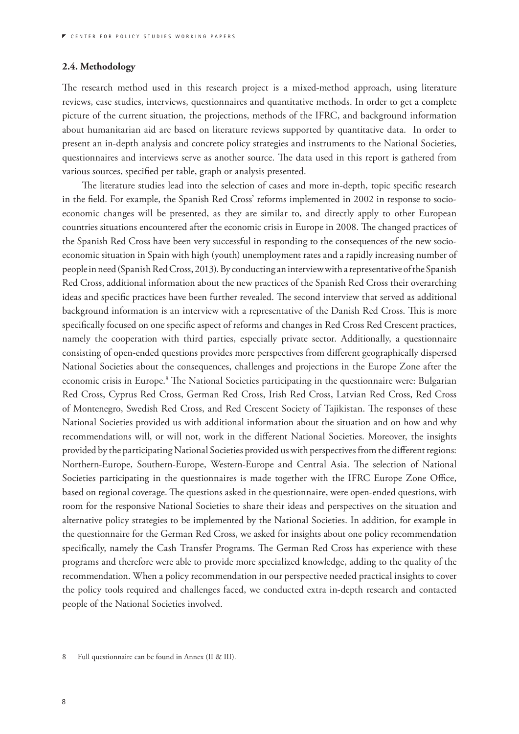#### <span id="page-10-0"></span>**2.4. Methodology**

The research method used in this research project is a mixed-method approach, using literature reviews, case studies, interviews, questionnaires and quantitative methods. In order to get a complete picture of the current situation, the projections, methods of the IFRC, and background information about humanitarian aid are based on literature reviews supported by quantitative data. In order to present an in-depth analysis and concrete policy strategies and instruments to the National Societies, questionnaires and interviews serve as another source. The data used in this report is gathered from various sources, specified per table, graph or analysis presented.

The literature studies lead into the selection of cases and more in-depth, topic specific research in the field. For example, the Spanish Red Cross' reforms implemented in 2002 in response to socioeconomic changes will be presented, as they are similar to, and directly apply to other European countries situations encountered after the economic crisis in Europe in 2008. The changed practices of the Spanish Red Cross have been very successful in responding to the consequences of the new socioeconomic situation in Spain with high (youth) unemployment rates and a rapidly increasing number of people in need (Spanish Red Cross, 2013). By conducting an interview with a representative of the Spanish Red Cross, additional information about the new practices of the Spanish Red Cross their overarching ideas and specific practices have been further revealed. The second interview that served as additional background information is an interview with a representative of the Danish Red Cross. This is more specifically focused on one specific aspect of reforms and changes in Red Cross Red Crescent practices, namely the cooperation with third parties, especially private sector. Additionally, a questionnaire consisting of open-ended questions provides more perspectives from different geographically dispersed National Societies about the consequences, challenges and projections in the Europe Zone after the economic crisis in Europe.<sup>8</sup> The National Societies participating in the questionnaire were: Bulgarian Red Cross, Cyprus Red Cross, German Red Cross, Irish Red Cross, Latvian Red Cross, Red Cross of Montenegro, Swedish Red Cross, and Red Crescent Society of Tajikistan. The responses of these National Societies provided us with additional information about the situation and on how and why recommendations will, or will not, work in the different National Societies. Moreover, the insights provided by the participating National Societies provided us with perspectives from the different regions: Northern-Europe, Southern-Europe, Western-Europe and Central Asia. The selection of National Societies participating in the questionnaires is made together with the IFRC Europe Zone Office, based on regional coverage. The questions asked in the questionnaire, were open-ended questions, with room for the responsive National Societies to share their ideas and perspectives on the situation and alternative policy strategies to be implemented by the National Societies. In addition, for example in the questionnaire for the German Red Cross, we asked for insights about one policy recommendation specifically, namely the Cash Transfer Programs. The German Red Cross has experience with these programs and therefore were able to provide more specialized knowledge, adding to the quality of the recommendation. When a policy recommendation in our perspective needed practical insights to cover the policy tools required and challenges faced, we conducted extra in-depth research and contacted people of the National Societies involved.

<sup>8</sup> Full questionnaire can be found in Annex (II & III).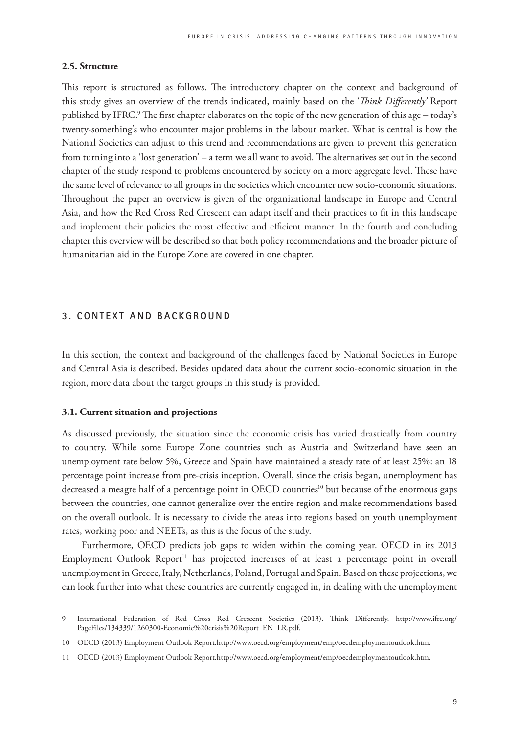#### <span id="page-11-0"></span>**2.5. Structure**

This report is structured as follows. The introductory chapter on the context and background of this study gives an overview of the trends indicated, mainly based on the '*Think Differently'* Report published by IFRC.<sup>9</sup> The first chapter elaborates on the topic of the new generation of this age – today's twenty-something's who encounter major problems in the labour market. What is central is how the National Societies can adjust to this trend and recommendations are given to prevent this generation from turning into a 'lost generation' – a term we all want to avoid. The alternatives set out in the second chapter of the study respond to problems encountered by society on a more aggregate level. These have the same level of relevance to all groups in the societies which encounter new socio-economic situations. Throughout the paper an overview is given of the organizational landscape in Europe and Central Asia, and how the Red Cross Red Crescent can adapt itself and their practices to fit in this landscape and implement their policies the most effective and efficient manner. In the fourth and concluding chapter this overview will be described so that both policy recommendations and the broader picture of humanitarian aid in the Europe Zone are covered in one chapter.

## **3. CONTEXT AND BACKGROUND**

In this section, the context and background of the challenges faced by National Societies in Europe and Central Asia is described. Besides updated data about the current socio-economic situation in the region, more data about the target groups in this study is provided.

#### **3.1. Current situation and projections**

As discussed previously, the situation since the economic crisis has varied drastically from country to country. While some Europe Zone countries such as Austria and Switzerland have seen an unemployment rate below 5%, Greece and Spain have maintained a steady rate of at least 25%: an 18 percentage point increase from pre-crisis inception. Overall, since the crisis began, unemployment has decreased a meagre half of a percentage point in OECD countries<sup>10</sup> but because of the enormous gaps between the countries, one cannot generalize over the entire region and make recommendations based on the overall outlook. It is necessary to divide the areas into regions based on youth unemployment rates, working poor and NEETs, as this is the focus of the study.

Furthermore, OECD predicts job gaps to widen within the coming year. OECD in its 2013 Employment Outlook Report<sup>11</sup> has projected increases of at least a percentage point in overall unemployment in Greece, Italy, Netherlands, Poland, Portugal and Spain. Based on these projections, we can look further into what these countries are currently engaged in, in dealing with the unemployment

<sup>9</sup> International Federation of Red Cross Red Crescent Societies (2013). Think Differently. [http://www.ifrc.org/](http://www.ifrc.org/PageFiles/134339/1260300-Economic%20crisis%20Report_EN_LR.pdf) [PageFiles/134339/1260300-Economic%20crisis%20Report\\_EN\\_LR.pdf.](http://www.ifrc.org/PageFiles/134339/1260300-Economic%20crisis%20Report_EN_LR.pdf)

<sup>10</sup> OECD (2013) Employment Outlook Report.<http://www.oecd.org/employment/emp/oecdemploymentoutlook.htm>.

<sup>11</sup> OECD (2013) Employment Outlook Report.<http://www.oecd.org/employment/emp/oecdemploymentoutlook.htm>.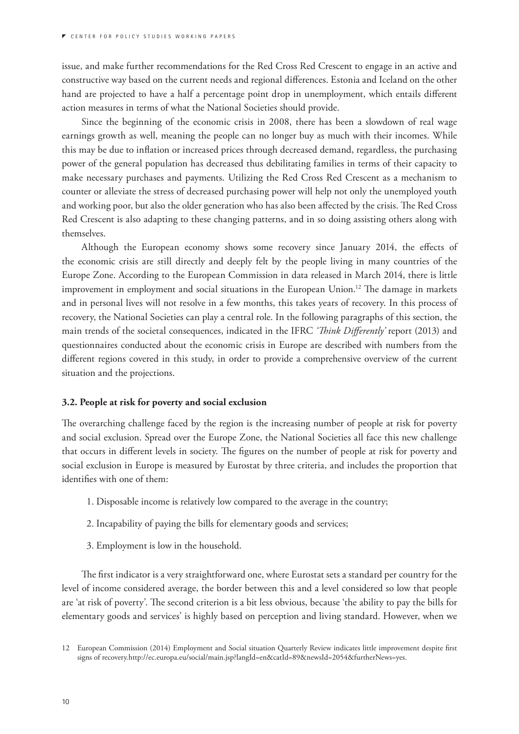<span id="page-12-0"></span>issue, and make further recommendations for the Red Cross Red Crescent to engage in an active and constructive way based on the current needs and regional differences. Estonia and Iceland on the other hand are projected to have a half a percentage point drop in unemployment, which entails different action measures in terms of what the National Societies should provide.

Since the beginning of the economic crisis in 2008, there has been a slowdown of real wage earnings growth as well, meaning the people can no longer buy as much with their incomes. While this may be due to inflation or increased prices through decreased demand, regardless, the purchasing power of the general population has decreased thus debilitating families in terms of their capacity to make necessary purchases and payments. Utilizing the Red Cross Red Crescent as a mechanism to counter or alleviate the stress of decreased purchasing power will help not only the unemployed youth and working poor, but also the older generation who has also been affected by the crisis. The Red Cross Red Crescent is also adapting to these changing patterns, and in so doing assisting others along with themselves.

Although the European economy shows some recovery since January 2014, the effects of the economic crisis are still directly and deeply felt by the people living in many countries of the Europe Zone. According to the European Commission in data released in March 2014, there is little improvement in employment and social situations in the European Union.<sup>12</sup> The damage in markets and in personal lives will not resolve in a few months, this takes years of recovery. In this process of recovery, the National Societies can play a central role. In the following paragraphs of this section, the main trends of the societal consequences, indicated in the IFRC *'Think Differently'* report (2013) and questionnaires conducted about the economic crisis in Europe are described with numbers from the different regions covered in this study, in order to provide a comprehensive overview of the current situation and the projections.

#### **3.2. People at risk for poverty and social exclusion**

The overarching challenge faced by the region is the increasing number of people at risk for poverty and social exclusion. Spread over the Europe Zone, the National Societies all face this new challenge that occurs in different levels in society. The figures on the number of people at risk for poverty and social exclusion in Europe is measured by Eurostat by three criteria, and includes the proportion that identifies with one of them:

- 1. Disposable income is relatively low compared to the average in the country;
- 2. Incapability of paying the bills for elementary goods and services;
- 3. Employment is low in the household.

The first indicator is a very straightforward one, where Eurostat sets a standard per country for the level of income considered average, the border between this and a level considered so low that people are 'at risk of poverty'. The second criterion is a bit less obvious, because 'the ability to pay the bills for elementary goods and services' is highly based on perception and living standard. However, when we

<sup>12</sup> European Commission (2014) Employment and Social situation Quarterly Review indicates little improvement despite first signs of recovery[.http://ec.europa.eu/social/main.jsp?langId=en&catId=89&newsId=2054&furtherNews=yes.](http://ec.europa.eu/social/main.jsp?langId=en&catId=89&newsId=2054&furtherNews=yes)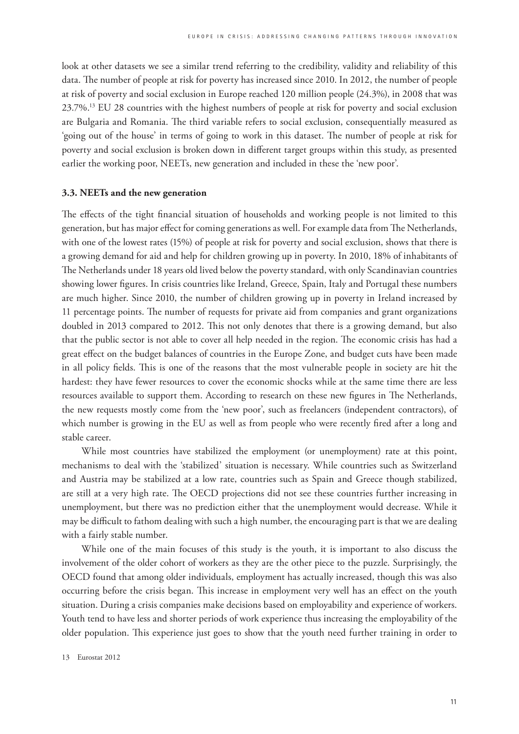<span id="page-13-0"></span>look at other datasets we see a similar trend referring to the credibility, validity and reliability of this data. The number of people at risk for poverty has increased since 2010. In 2012, the number of people at risk of poverty and social exclusion in Europe reached 120 million people (24.3%), in 2008 that was 23.7%.13 EU 28 countries with the highest numbers of people at risk for poverty and social exclusion are Bulgaria and Romania. The third variable refers to social exclusion, consequentially measured as 'going out of the house' in terms of going to work in this dataset. The number of people at risk for poverty and social exclusion is broken down in different target groups within this study, as presented earlier the working poor, NEETs, new generation and included in these the 'new poor'.

#### **3.3. NEETs and the new generation**

The effects of the tight financial situation of households and working people is not limited to this generation, but has major effect for coming generations as well. For example data from The Netherlands, with one of the lowest rates (15%) of people at risk for poverty and social exclusion, shows that there is a growing demand for aid and help for children growing up in poverty. In 2010, 18% of inhabitants of The Netherlands under 18 years old lived below the poverty standard, with only Scandinavian countries showing lower figures. In crisis countries like Ireland, Greece, Spain, Italy and Portugal these numbers are much higher. Since 2010, the number of children growing up in poverty in Ireland increased by 11 percentage points. The number of requests for private aid from companies and grant organizations doubled in 2013 compared to 2012. This not only denotes that there is a growing demand, but also that the public sector is not able to cover all help needed in the region. The economic crisis has had a great effect on the budget balances of countries in the Europe Zone, and budget cuts have been made in all policy fields. This is one of the reasons that the most vulnerable people in society are hit the hardest: they have fewer resources to cover the economic shocks while at the same time there are less resources available to support them. According to research on these new figures in The Netherlands, the new requests mostly come from the 'new poor', such as freelancers (independent contractors), of which number is growing in the EU as well as from people who were recently fired after a long and stable career.

While most countries have stabilized the employment (or unemployment) rate at this point, mechanisms to deal with the 'stabilized' situation is necessary. While countries such as Switzerland and Austria may be stabilized at a low rate, countries such as Spain and Greece though stabilized, are still at a very high rate. The OECD projections did not see these countries further increasing in unemployment, but there was no prediction either that the unemployment would decrease. While it may be difficult to fathom dealing with such a high number, the encouraging part is that we are dealing with a fairly stable number.

While one of the main focuses of this study is the youth, it is important to also discuss the involvement of the older cohort of workers as they are the other piece to the puzzle. Surprisingly, the OECD found that among older individuals, employment has actually increased, though this was also occurring before the crisis began. This increase in employment very well has an effect on the youth situation. During a crisis companies make decisions based on employability and experience of workers. Youth tend to have less and shorter periods of work experience thus increasing the employability of the older population. This experience just goes to show that the youth need further training in order to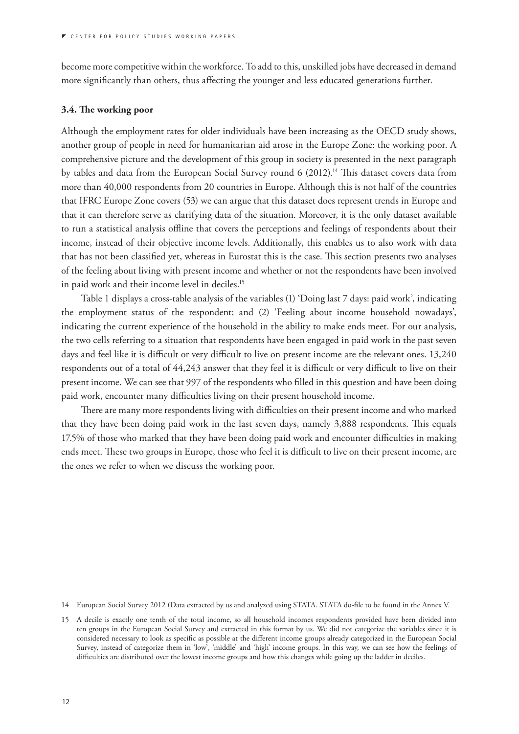<span id="page-14-0"></span>become more competitive within the workforce. To add to this, unskilled jobs have decreased in demand more significantly than others, thus affecting the younger and less educated generations further.

#### **3.4. The working poor**

Although the employment rates for older individuals have been increasing as the OECD study shows, another group of people in need for humanitarian aid arose in the Europe Zone: the working poor. A comprehensive picture and the development of this group in society is presented in the next paragraph by tables and data from the European Social Survey round 6 (2012).14 This dataset covers data from more than 40,000 respondents from 20 countries in Europe. Although this is not half of the countries that IFRC Europe Zone covers (53) we can argue that this dataset does represent trends in Europe and that it can therefore serve as clarifying data of the situation. Moreover, it is the only dataset available to run a statistical analysis offline that covers the perceptions and feelings of respondents about their income, instead of their objective income levels. Additionally, this enables us to also work with data that has not been classified yet, whereas in Eurostat this is the case. This section presents two analyses of the feeling about living with present income and whether or not the respondents have been involved in paid work and their income level in deciles.<sup>15</sup>

Table 1 displays a cross-table analysis of the variables (1) 'Doing last 7 days: paid work', indicating the employment status of the respondent; and (2) 'Feeling about income household nowadays', indicating the current experience of the household in the ability to make ends meet. For our analysis, the two cells referring to a situation that respondents have been engaged in paid work in the past seven days and feel like it is difficult or very difficult to live on present income are the relevant ones. 13,240 respondents out of a total of 44,243 answer that they feel it is difficult or very difficult to live on their present income. We can see that 997 of the respondents who filled in this question and have been doing paid work, encounter many difficulties living on their present household income.

There are many more respondents living with difficulties on their present income and who marked that they have been doing paid work in the last seven days, namely 3,888 respondents. This equals 17.5% of those who marked that they have been doing paid work and encounter difficulties in making ends meet. These two groups in Europe, those who feel it is difficult to live on their present income, are the ones we refer to when we discuss the working poor.

<sup>14</sup> European Social Survey 2012 (Data extracted by us and analyzed using STATA. STATA do-file to be found in the Annex V.

<sup>15</sup> A decile is exactly one tenth of the total income, so all household incomes respondents provided have been divided into ten groups in the European Social Survey and extracted in this format by us. We did not categorize the variables since it is considered necessary to look as specific as possible at the different income groups already categorized in the European Social Survey, instead of categorize them in 'low', 'middle' and 'high' income groups. In this way, we can see how the feelings of difficulties are distributed over the lowest income groups and how this changes while going up the ladder in deciles.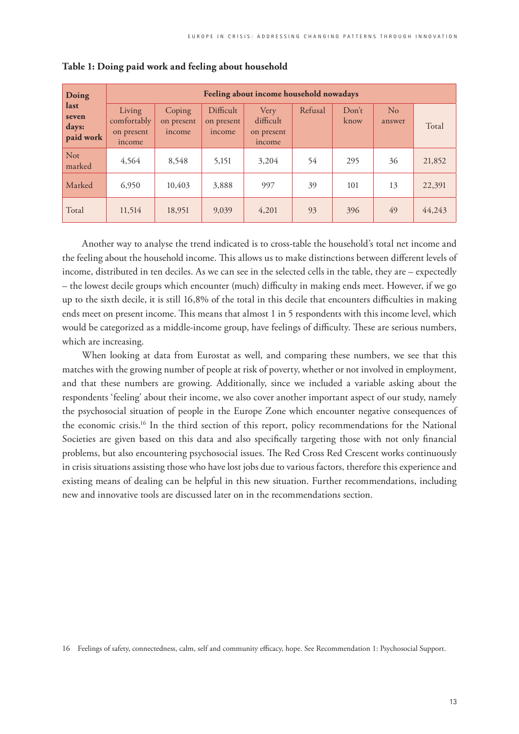| Doing                               | Feeling about income household nowadays       |                                |                                   |                                           |         |               |              |        |  |
|-------------------------------------|-----------------------------------------------|--------------------------------|-----------------------------------|-------------------------------------------|---------|---------------|--------------|--------|--|
| last<br>seven<br>days:<br>paid work | Living<br>comfortably<br>on present<br>income | Coping<br>on present<br>income | Difficult<br>on present<br>income | Very<br>difficult<br>on present<br>income | Refusal | Don't<br>know | No<br>answer | Total  |  |
| <b>Not</b><br>marked                | 4,564                                         | 8,548                          | 5,151                             | 3,204                                     | 54      | 295           | 36           | 21,852 |  |
| Marked                              | 6,950                                         | 10,403                         | 3,888                             | 997                                       | 39      | 101           | 13           | 22,391 |  |
| Total                               | 11,514                                        | 18,951                         | 9,039                             | 4,201                                     | 93      | 396           | 49           | 44,243 |  |

|  |  |  | Table 1: Doing paid work and feeling about household |  |  |
|--|--|--|------------------------------------------------------|--|--|
|  |  |  |                                                      |  |  |

Another way to analyse the trend indicated is to cross-table the household's total net income and the feeling about the household income. This allows us to make distinctions between different levels of income, distributed in ten deciles. As we can see in the selected cells in the table, they are – expectedly – the lowest decile groups which encounter (much) difficulty in making ends meet. However, if we go up to the sixth decile, it is still 16,8% of the total in this decile that encounters difficulties in making ends meet on present income. This means that almost 1 in 5 respondents with this income level, which would be categorized as a middle-income group, have feelings of difficulty. These are serious numbers, which are increasing.

When looking at data from Eurostat as well, and comparing these numbers, we see that this matches with the growing number of people at risk of poverty, whether or not involved in employment, and that these numbers are growing. Additionally, since we included a variable asking about the respondents 'feeling' about their income, we also cover another important aspect of our study, namely the psychosocial situation of people in the Europe Zone which encounter negative consequences of the economic crisis.<sup>16</sup> In the third section of this report, policy recommendations for the National Societies are given based on this data and also specifically targeting those with not only financial problems, but also encountering psychosocial issues. The Red Cross Red Crescent works continuously in crisis situations assisting those who have lost jobs due to various factors, therefore this experience and existing means of dealing can be helpful in this new situation. Further recommendations, including new and innovative tools are discussed later on in the recommendations section.

<sup>16</sup> Feelings of safety, connectedness, calm, self and community efficacy, hope. See Recommendation 1: Psychosocial Support.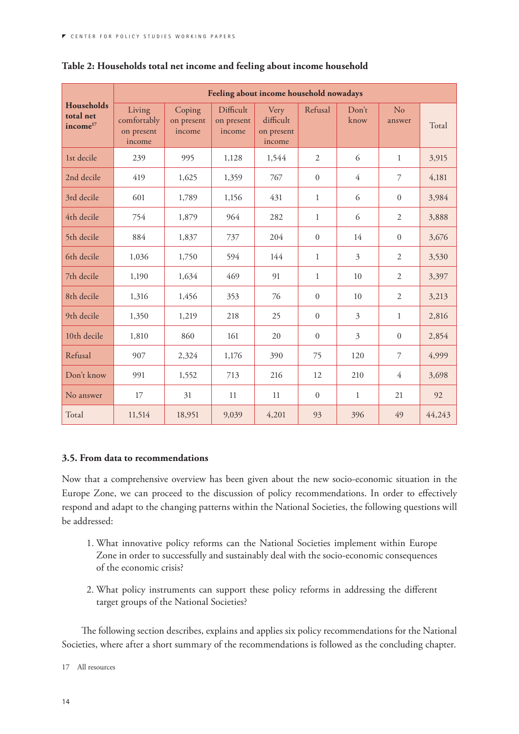| Feeling about income household nowadays                |                                               |                                |                                   |                                           |                  |                |                          |        |
|--------------------------------------------------------|-----------------------------------------------|--------------------------------|-----------------------------------|-------------------------------------------|------------------|----------------|--------------------------|--------|
| <b>Households</b><br>total net<br>income <sup>17</sup> | Living<br>comfortably<br>on present<br>income | Coping<br>on present<br>income | Difficult<br>on present<br>income | Very<br>difficult<br>on present<br>income | Refusal          | Don't<br>know  | N <sub>o</sub><br>answer | Total  |
| 1st decile                                             | 239                                           | 995                            | 1,128                             | 1,544                                     | $\mathfrak{2}$   | 6              | $\mathbf{1}$             | 3,915  |
| 2nd decile                                             | 419                                           | 1,625                          | 1,359                             | 767                                       | $\overline{0}$   | $\overline{4}$ | $\overline{7}$           | 4,181  |
| 3rd decile                                             | 601                                           | 1,789                          | 1,156                             | 431                                       | $\mathbf{1}$     | 6              | $\mathbf{0}$             | 3,984  |
| 4th decile                                             | 754                                           | 1,879                          | 964                               | 282                                       | $\mathbf{1}$     | 6              | $\mathfrak{2}$           | 3,888  |
| 5th decile                                             | 884                                           | 1,837                          | 737                               | 204                                       | $\boldsymbol{0}$ | 14             | $\boldsymbol{0}$         | 3,676  |
| 6th decile                                             | 1,036                                         | 1,750                          | 594                               | 144                                       | 1                | $\overline{3}$ | $\overline{2}$           | 3,530  |
| 7th decile                                             | 1,190                                         | 1,634                          | 469                               | 91                                        | $\mathbf{1}$     | 10             | $\overline{2}$           | 3,397  |
| 8th decile                                             | 1,316                                         | 1,456                          | 353                               | 76                                        | $\overline{0}$   | 10             | $\overline{2}$           | 3,213  |
| 9th decile                                             | 1,350                                         | 1,219                          | 218                               | 25                                        | $\overline{0}$   | $\overline{3}$ | $\mathbf{1}$             | 2,816  |
| 10th decile                                            | 1,810                                         | 860                            | 161                               | 20                                        | $\boldsymbol{0}$ | 3              | $\boldsymbol{0}$         | 2,854  |
| Refusal                                                | 907                                           | 2,324                          | 1,176                             | 390                                       | 75               | 120            | $\overline{7}$           | 4,999  |
| Don't know                                             | 991                                           | 1,552                          | 713                               | 216                                       | 12               | 210            | $\overline{4}$           | 3,698  |
| No answer                                              | 17                                            | 31                             | 11                                | 11                                        | $\theta$         | $\mathbf{1}$   | 21                       | 92     |
| Total                                                  | 11,514                                        | 18,951                         | 9,039                             | 4,201                                     | 93               | 396            | 49                       | 44,243 |

#### <span id="page-16-0"></span>Table 2: Households total net income and feeling about income household

#### **3.5. From data to recommendations**

Now that a comprehensive overview has been given about the new socio-economic situation in the Europe Zone, we can proceed to the discussion of policy recommendations. In order to effectively respond and adapt to the changing patterns within the National Societies, the following questions will be addressed:

- 1. What innovative policy reforms can the National Societies implement within Europe Zone in order to successfully and sustainably deal with the socio-economic consequences of the economic crisis?
- 2. What policy instruments can support these policy reforms in addressing the different target groups of the National Societies?

The following section describes, explains and applies six policy recommendations for the National Societies, where after a short summary of the recommendations is followed as the concluding chapter.

17 All resources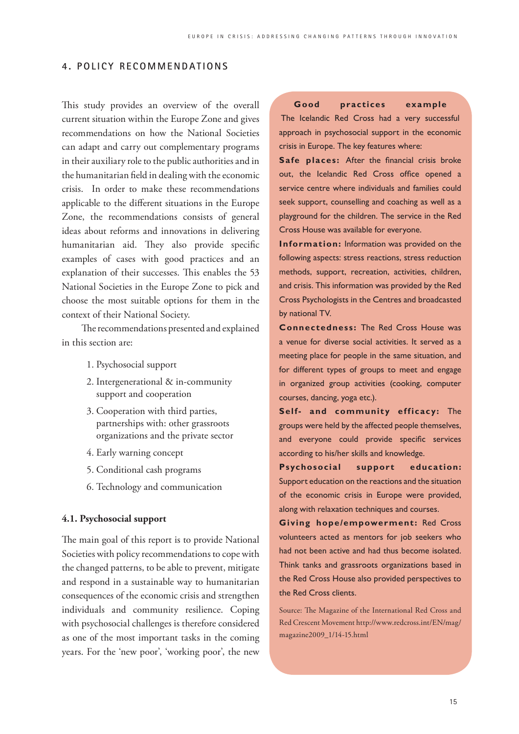#### <span id="page-17-0"></span>**4. POLICY RECOMMENDATIONS**

This study provides an overview of the overall current situation within the Europe Zone and gives recommendations on how the National Societies can adapt and carry out complementary programs in their auxiliary role to the public authorities and in the humanitarian field in dealing with the economic crisis. In order to make these recommendations applicable to the different situations in the Europe Zone, the recommendations consists of general ideas about reforms and innovations in delivering humanitarian aid. They also provide specific examples of cases with good practices and an explanation of their successes. This enables the 53 National Societies in the Europe Zone to pick and choose the most suitable options for them in the context of their National Society.

The recommendations presented and explained in this section are:

- 1. Psychosocial support
- 2. Intergenerational & in-community support and cooperation
- 3. Cooperation with third parties, partnerships with: other grassroots organizations and the private sector
- 4. Early warning concept
- 5. Conditional cash programs
- 6. Technology and communication

#### **4.1. Psychosocial support**

The main goal of this report is to provide National Societies with policy recommendations to cope with the changed patterns, to be able to prevent, mitigate and respond in a sustainable way to humanitarian consequences of the economic crisis and strengthen individuals and community resilience. Coping with psychosocial challenges is therefore considered as one of the most important tasks in the coming years. For the 'new poor', 'working poor', the new

# **Good practices example**

The Icelandic Red Cross had a very successful approach in psychosocial support in the economic crisis in Europe. The key features where:

**Safe places:** After the financial crisis broke out, the Icelandic Red Cross office opened a service centre where individuals and families could seek support, counselling and coaching as well as a playground for the children. The service in the Red Cross House was available for everyone.

**Information:** Information was provided on the following aspects: stress reactions, stress reduction methods, support, recreation, activities, children, and crisis. This information was provided by the Red Cross Psychologists in the Centres and broadcasted by national TV.

**Connectedness:** The Red Cross House was a venue for diverse social activities. It served as a meeting place for people in the same situation, and for different types of groups to meet and engage in organized group activities (cooking, computer courses, dancing, yoga etc.).

**Self- and community efficacy:** The groups were held by the affected people themselves, and everyone could provide specific services according to his/her skills and knowledge.

**Psychosocial support education:** Support education on the reactions and the situation of the economic crisis in Europe were provided, along with relaxation techniques and courses.

**Giving hope/empowerment:** Red Cross volunteers acted as mentors for job seekers who had not been active and had thus become isolated. Think tanks and grassroots organizations based in the Red Cross House also provided perspectives to the Red Cross clients.

Source: The Magazine of the International Red Cross and Red Crescent Movement [http://www.redcross.int/EN/mag/](http://www.redcross.int/EN/mag/magazine2009_1/14-15.html) [magazine2009\\_1/14-15.html](http://www.redcross.int/EN/mag/magazine2009_1/14-15.html)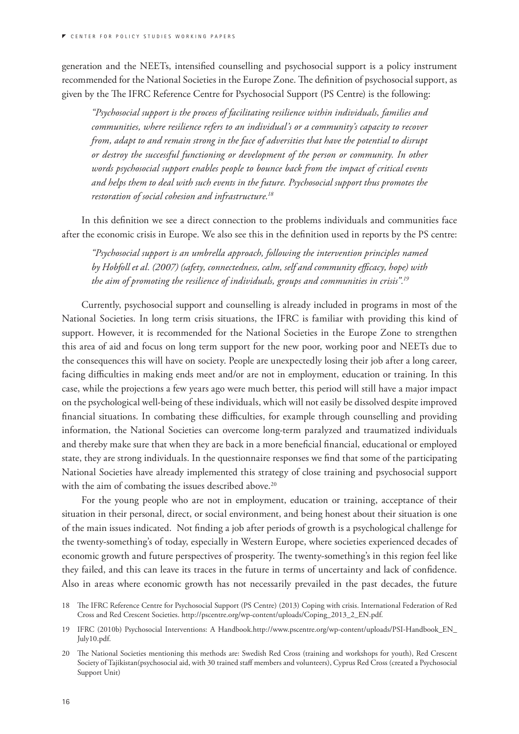generation and the NEETs, intensified counselling and psychosocial support is a policy instrument recommended for the National Societies in the Europe Zone. The definition of psychosocial support, as given by the The IFRC Reference Centre for Psychosocial Support (PS Centre) is the following:

*"Psychosocial support is the process of facilitating resilience within individuals, families and communities, where resilience refers to an individual's or a community's capacity to recover from, adapt to and remain strong in the face of adversities that have the potential to disrupt or destroy the successful functioning or development of the person or community. In other words psychosocial support enables people to bounce back from the impact of critical events and helps them to deal with such events in the future. Psychosocial support thus promotes the restoration of social cohesion and infrastructure.18*

In this definition we see a direct connection to the problems individuals and communities face after the economic crisis in Europe. We also see this in the definition used in reports by the PS centre:

*"Psychosocial support is an umbrella approach, following the intervention principles named by Hobfoll et al. (2007) (safety, connectedness, calm, self and community efficacy, hope) with the aim of promoting the resilience of individuals, groups and communities in crisis".19*

Currently, psychosocial support and counselling is already included in programs in most of the National Societies. In long term crisis situations, the IFRC is familiar with providing this kind of support. However, it is recommended for the National Societies in the Europe Zone to strengthen this area of aid and focus on long term support for the new poor, working poor and NEETs due to the consequences this will have on society. People are unexpectedly losing their job after a long career, facing difficulties in making ends meet and/or are not in employment, education or training. In this case, while the projections a few years ago were much better, this period will still have a major impact on the psychological well-being of these individuals, which will not easily be dissolved despite improved financial situations. In combating these difficulties, for example through counselling and providing information, the National Societies can overcome long-term paralyzed and traumatized individuals and thereby make sure that when they are back in a more beneficial financial, educational or employed state, they are strong individuals. In the questionnaire responses we find that some of the participating National Societies have already implemented this strategy of close training and psychosocial support with the aim of combating the issues described above.<sup>20</sup>

For the young people who are not in employment, education or training, acceptance of their situation in their personal, direct, or social environment, and being honest about their situation is one of the main issues indicated. Not finding a job after periods of growth is a psychological challenge for the twenty-something's of today, especially in Western Europe, where societies experienced decades of economic growth and future perspectives of prosperity. The twenty-something's in this region feel like they failed, and this can leave its traces in the future in terms of uncertainty and lack of confidence. Also in areas where economic growth has not necessarily prevailed in the past decades, the future

<sup>18</sup> The IFRC Reference Centre for Psychosocial Support (PS Centre) (2013) Coping with crisis. International Federation of Red Cross and Red Crescent Societies. http://pscentre.org/wp-content/uploads/Coping\_2013\_2\_EN.pdf.

<sup>19</sup> IFRC (2010b) Psychosocial Interventions: A Handbook.http://www.pscentre.org/wp-content/uploads/PSI-Handbook\_EN\_ July10.pdf.

<sup>20</sup> The National Societies mentioning this methods are: Swedish Red Cross (training and workshops for youth), Red Crescent Society of Tajikistan(psychosocial aid, with 30 trained staff members and volunteers), Cyprus Red Cross (created a Psychosocial Support Unit)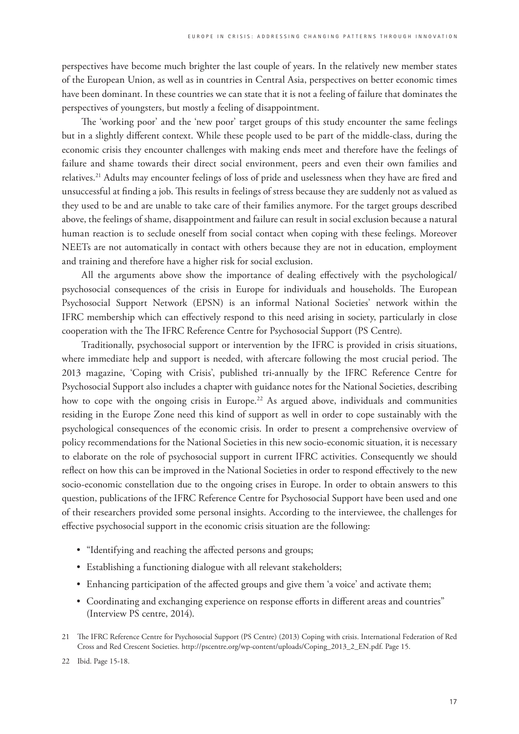perspectives have become much brighter the last couple of years. In the relatively new member states of the European Union, as well as in countries in Central Asia, perspectives on better economic times have been dominant. In these countries we can state that it is not a feeling of failure that dominates the perspectives of youngsters, but mostly a feeling of disappointment.

The 'working poor' and the 'new poor' target groups of this study encounter the same feelings but in a slightly different context. While these people used to be part of the middle-class, during the economic crisis they encounter challenges with making ends meet and therefore have the feelings of failure and shame towards their direct social environment, peers and even their own families and relatives.21 Adults may encounter feelings of loss of pride and uselessness when they have are fired and unsuccessful at finding a job. This results in feelings of stress because they are suddenly not as valued as they used to be and are unable to take care of their families anymore. For the target groups described above, the feelings of shame, disappointment and failure can result in social exclusion because a natural human reaction is to seclude oneself from social contact when coping with these feelings. Moreover NEETs are not automatically in contact with others because they are not in education, employment and training and therefore have a higher risk for social exclusion.

All the arguments above show the importance of dealing effectively with the psychological/ psychosocial consequences of the crisis in Europe for individuals and households. The European Psychosocial Support Network (EPSN) is an informal National Societies' network within the IFRC membership which can effectively respond to this need arising in society, particularly in close cooperation with the The IFRC Reference Centre for Psychosocial Support (PS Centre).

Traditionally, psychosocial support or intervention by the IFRC is provided in crisis situations, where immediate help and support is needed, with aftercare following the most crucial period. The 2013 magazine, 'Coping with Crisis', published tri-annually by the IFRC Reference Centre for Psychosocial Support also includes a chapter with guidance notes for the National Societies, describing how to cope with the ongoing crisis in Europe.<sup>22</sup> As argued above, individuals and communities residing in the Europe Zone need this kind of support as well in order to cope sustainably with the psychological consequences of the economic crisis. In order to present a comprehensive overview of policy recommendations for the National Societies in this new socio-economic situation, it is necessary to elaborate on the role of psychosocial support in current IFRC activities. Consequently we should reflect on how this can be improved in the National Societies in order to respond effectively to the new socio-economic constellation due to the ongoing crises in Europe. In order to obtain answers to this question, publications of the IFRC Reference Centre for Psychosocial Support have been used and one of their researchers provided some personal insights. According to the interviewee, the challenges for effective psychosocial support in the economic crisis situation are the following:

- "Identifying and reaching the affected persons and groups;
- Establishing a functioning dialogue with all relevant stakeholders;
- Enhancing participation of the affected groups and give them 'a voice' and activate them;
- • Coordinating and exchanging experience on response efforts in different areas and countries" (Interview PS centre, 2014).
- 21 The IFRC Reference Centre for Psychosocial Support (PS Centre) (2013) Coping with crisis. International Federation of Red Cross and Red Crescent Societies. http://pscentre.org/wp-content/uploads/Coping\_2013\_2\_EN.pdf. Page 15.

<sup>22</sup> Ibid. Page 15-18.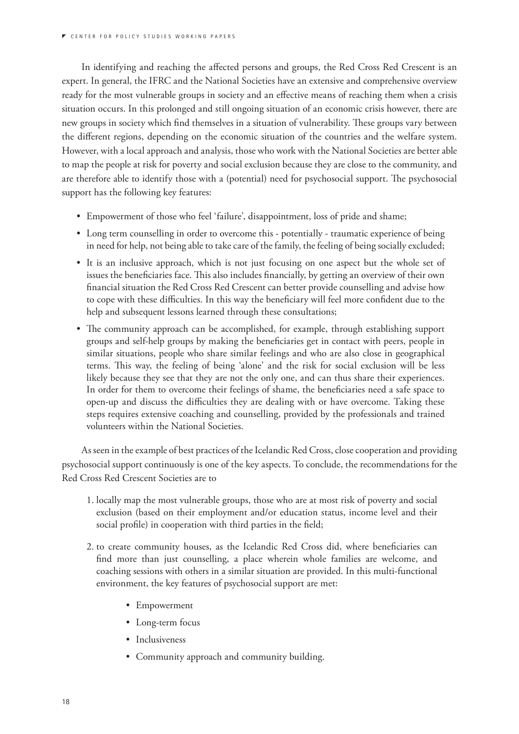In identifying and reaching the affected persons and groups, the Red Cross Red Crescent is an expert. In general, the IFRC and the National Societies have an extensive and comprehensive overview ready for the most vulnerable groups in society and an effective means of reaching them when a crisis situation occurs. In this prolonged and still ongoing situation of an economic crisis however, there are new groups in society which find themselves in a situation of vulnerability. These groups vary between the different regions, depending on the economic situation of the countries and the welfare system. However, with a local approach and analysis, those who work with the National Societies are better able to map the people at risk for poverty and social exclusion because they are close to the community, and are therefore able to identify those with a (potential) need for psychosocial support. The psychosocial support has the following key features:

- Empowerment of those who feel 'failure', disappointment, loss of pride and shame;
- Long term counselling in order to overcome this potentially traumatic experience of being in need for help, not being able to take care of the family, the feeling of being socially excluded;
- It is an inclusive approach, which is not just focusing on one aspect but the whole set of issues the beneficiaries face. This also includes financially, by getting an overview of their own financial situation the Red Cross Red Crescent can better provide counselling and advise how to cope with these difficulties. In this way the beneficiary will feel more confident due to the help and subsequent lessons learned through these consultations;
- The community approach can be accomplished, for example, through establishing support groups and self-help groups by making the beneficiaries get in contact with peers, people in similar situations, people who share similar feelings and who are also close in geographical terms. This way, the feeling of being 'alone' and the risk for social exclusion will be less likely because they see that they are not the only one, and can thus share their experiences. In order for them to overcome their feelings of shame, the beneficiaries need a safe space to open-up and discuss the difficulties they are dealing with or have overcome. Taking these steps requires extensive coaching and counselling, provided by the professionals and trained volunteers within the National Societies.

As seen in the example of best practices of the Icelandic Red Cross, close cooperation and providing psychosocial support continuously is one of the key aspects. To conclude, the recommendations for the Red Cross Red Crescent Societies are to

- 1. locally map the most vulnerable groups, those who are at most risk of poverty and social exclusion (based on their employment and/or education status, income level and their social profile) in cooperation with third parties in the field;
- 2. to create community houses, as the Icelandic Red Cross did, where beneficiaries can find more than just counselling, a place wherein whole families are welcome, and coaching sessions with others in a similar situation are provided. In this multi-functional environment, the key features of psychosocial support are met:
	- • Empowerment
	- Long-term focus
	- Inclusiveness
	- Community approach and community building.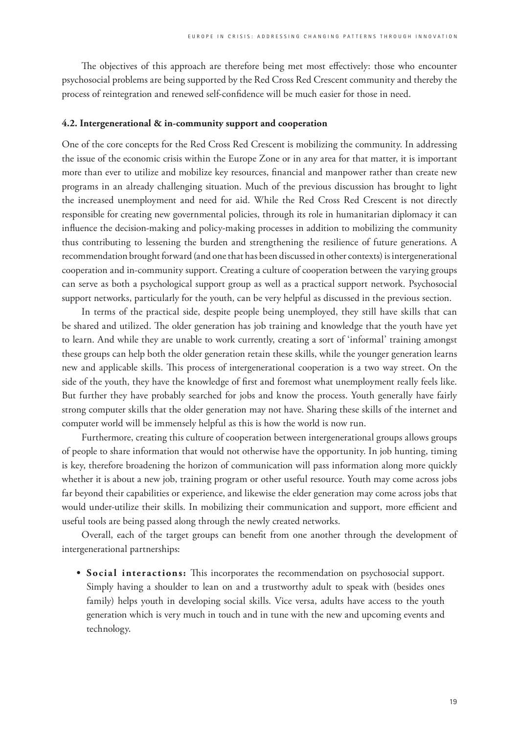<span id="page-21-0"></span>The objectives of this approach are therefore being met most effectively: those who encounter psychosocial problems are being supported by the Red Cross Red Crescent community and thereby the process of reintegration and renewed self-confidence will be much easier for those in need.

#### **4.2. Intergenerational & in-community support and cooperation**

One of the core concepts for the Red Cross Red Crescent is mobilizing the community. In addressing the issue of the economic crisis within the Europe Zone or in any area for that matter, it is important more than ever to utilize and mobilize key resources, financial and manpower rather than create new programs in an already challenging situation. Much of the previous discussion has brought to light the increased unemployment and need for aid. While the Red Cross Red Crescent is not directly responsible for creating new governmental policies, through its role in humanitarian diplomacy it can influence the decision-making and policy-making processes in addition to mobilizing the community thus contributing to lessening the burden and strengthening the resilience of future generations. A recommendation brought forward (and one that has been discussed in other contexts) is intergenerational cooperation and in-community support. Creating a culture of cooperation between the varying groups can serve as both a psychological support group as well as a practical support network. Psychosocial support networks, particularly for the youth, can be very helpful as discussed in the previous section.

In terms of the practical side, despite people being unemployed, they still have skills that can be shared and utilized. The older generation has job training and knowledge that the youth have yet to learn. And while they are unable to work currently, creating a sort of 'informal' training amongst these groups can help both the older generation retain these skills, while the younger generation learns new and applicable skills. This process of intergenerational cooperation is a two way street. On the side of the youth, they have the knowledge of first and foremost what unemployment really feels like. But further they have probably searched for jobs and know the process. Youth generally have fairly strong computer skills that the older generation may not have. Sharing these skills of the internet and computer world will be immensely helpful as this is how the world is now run.

Furthermore, creating this culture of cooperation between intergenerational groups allows groups of people to share information that would not otherwise have the opportunity. In job hunting, timing is key, therefore broadening the horizon of communication will pass information along more quickly whether it is about a new job, training program or other useful resource. Youth may come across jobs far beyond their capabilities or experience, and likewise the elder generation may come across jobs that would under-utilize their skills. In mobilizing their communication and support, more efficient and useful tools are being passed along through the newly created networks.

Overall, each of the target groups can benefit from one another through the development of intergenerational partnerships:

**• Social interactions:** This incorporates the recommendation on psychosocial support. Simply having a shoulder to lean on and a trustworthy adult to speak with (besides ones family) helps youth in developing social skills. Vice versa, adults have access to the youth generation which is very much in touch and in tune with the new and upcoming events and technology.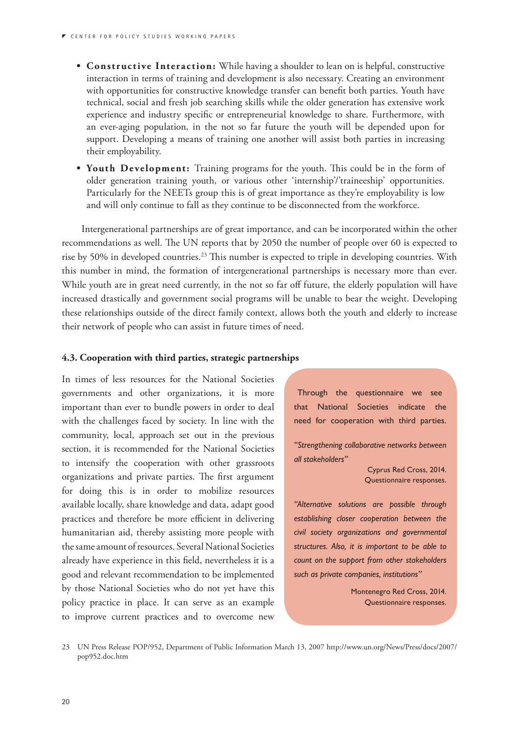- <span id="page-22-0"></span>**• Constructive Interaction:** While having a shoulder to lean on is helpful, constructive interaction in terms of training and development is also necessary. Creating an environment with opportunities for constructive knowledge transfer can benefit both parties. Youth have technical, social and fresh job searching skills while the older generation has extensive work experience and industry specific or entrepreneurial knowledge to share. Furthermore, with an ever-aging population, in the not so far future the youth will be depended upon for support. Developing a means of training one another will assist both parties in increasing their employability.
- **• Youth Development:** Training programs for the youth. This could be in the form of older generation training youth, or various other 'internship'/'traineeship' opportunities. Particularly for the NEETs group this is of great importance as they're employability is low and will only continue to fall as they continue to be disconnected from the workforce.

Intergenerational partnerships are of great importance, and can be incorporated within the other recommendations as well. The UN reports that by 2050 the number of people over 60 is expected to rise by 50% in developed countries.<sup>23</sup> This number is expected to triple in developing countries. With this number in mind, the formation of intergenerational partnerships is necessary more than ever. While youth are in great need currently, in the not so far off future, the elderly population will have increased drastically and government social programs will be unable to bear the weight. Developing these relationships outside of the direct family context, allows both the youth and elderly to increase their network of people who can assist in future times of need.

### **4.3. Cooperation with third parties, strategic partnerships**

In times of less resources for the National Societies governments and other organizations, it is more important than ever to bundle powers in order to deal with the challenges faced by society. In line with the community, local, approach set out in the previous section, it is recommended for the National Societies to intensify the cooperation with other grassroots organizations and private parties. The first argument for doing this is in order to mobilize resources available locally, share knowledge and data, adapt good practices and therefore be more efficient in delivering humanitarian aid, thereby assisting more people with the same amount of resources. Several National Societies already have experience in this field, nevertheless it is a good and relevant recommendation to be implemented by those National Societies who do not yet have this policy practice in place. It can serve as an example to improve current practices and to overcome new

Through the questionnaire we see that National Societies indicate the need for cooperation with third parties.

*"Strengthening collaborative networks between all stakeholders"*

> Cyprus Red Cross, 2014. Questionnaire responses.

*"Alternative solutions are possible through establishing closer cooperation between the civil society organizations and governmental structures. Also, it is important to be able to count on the support from other stakeholders such as private companies, institutions"* 

> Montenegro Red Cross, 2014. Questionnaire responses.

23 UN Press Release POP/952, Department of Public Information March 13, 2007 http://www.un.org/News/Press/docs/2007/ pop952.doc.htm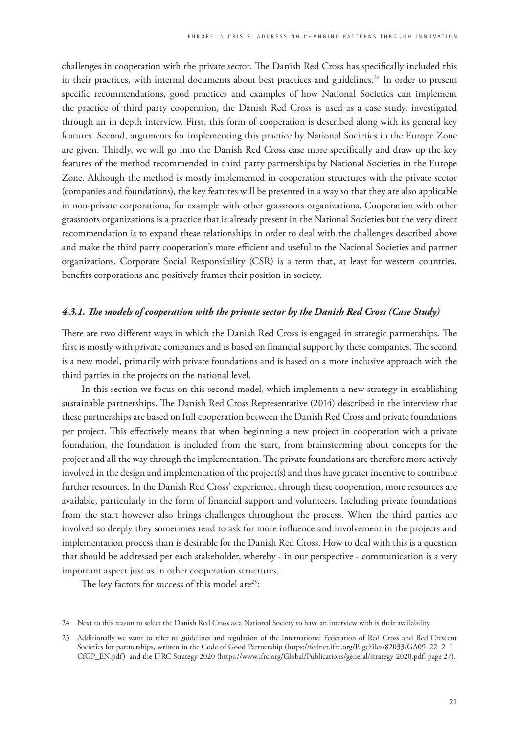<span id="page-23-0"></span>challenges in cooperation with the private sector. The Danish Red Cross has specifically included this in their practices, with internal documents about best practices and guidelines.24 In order to present specific recommendations, good practices and examples of how National Societies can implement the practice of third party cooperation, the Danish Red Cross is used as a case study, investigated through an in depth interview. First, this form of cooperation is described along with its general key features. Second, arguments for implementing this practice by National Societies in the Europe Zone are given. Thirdly, we will go into the Danish Red Cross case more specifically and draw up the key features of the method recommended in third party partnerships by National Societies in the Europe Zone. Although the method is mostly implemented in cooperation structures with the private sector (companies and foundations), the key features will be presented in a way so that they are also applicable in non-private corporations, for example with other grassroots organizations. Cooperation with other grassroots organizations is a practice that is already present in the National Societies but the very direct recommendation is to expand these relationships in order to deal with the challenges described above and make the third party cooperation's more efficient and useful to the National Societies and partner organizations. Corporate Social Responsibility (CSR) is a term that, at least for western countries, benefits corporations and positively frames their position in society.

## *4.3.1. The models of cooperation with the private sector by the Danish Red Cross (Case Study)*

There are two different ways in which the Danish Red Cross is engaged in strategic partnerships. The first is mostly with private companies and is based on financial support by these companies. The second is a new model, primarily with private foundations and is based on a more inclusive approach with the third parties in the projects on the national level.

In this section we focus on this second model, which implements a new strategy in establishing sustainable partnerships. The Danish Red Cross Representative (2014) described in the interview that these partnerships are based on full cooperation between the Danish Red Cross and private foundations per project. This effectively means that when beginning a new project in cooperation with a private foundation, the foundation is included from the start, from brainstorming about concepts for the project and all the way through the implementation. The private foundations are therefore more actively involved in the design and implementation of the project(s) and thus have greater incentive to contribute further resources. In the Danish Red Cross' experience, through these cooperation, more resources are available, particularly in the form of financial support and volunteers. Including private foundations from the start however also brings challenges throughout the process. When the third parties are involved so deeply they sometimes tend to ask for more influence and involvement in the projects and implementation process than is desirable for the Danish Red Cross. How to deal with this is a question that should be addressed per each stakeholder, whereby - in our perspective - communication is a very important aspect just as in other cooperation structures.

The key factors for success of this model are<sup>25</sup>:

<sup>24</sup> Next to this reason to select the Danish Red Cross as a National Society to have an interview with is their availability.

<sup>25</sup> Additionally we want to refer to guidelines and regulation of the International Federation of Red Cross and Red Crescent Societies for partnerships, written in the Code of Good Partnership ([https://fednet.ifrc.org/PageFiles/82033/GA09\\_22\\_2\\_1\\_](https://fednet.ifrc.org/PageFiles/82033/GA09_22_2_1_CfGP_EN.pdf) [CfGP\\_EN.pdf](https://fednet.ifrc.org/PageFiles/82033/GA09_22_2_1_CfGP_EN.pdf)) and the IFRC Strategy 2020 (https://www.ifrc.org/Global/Publications/general/strategy-2020.pdf: page 27).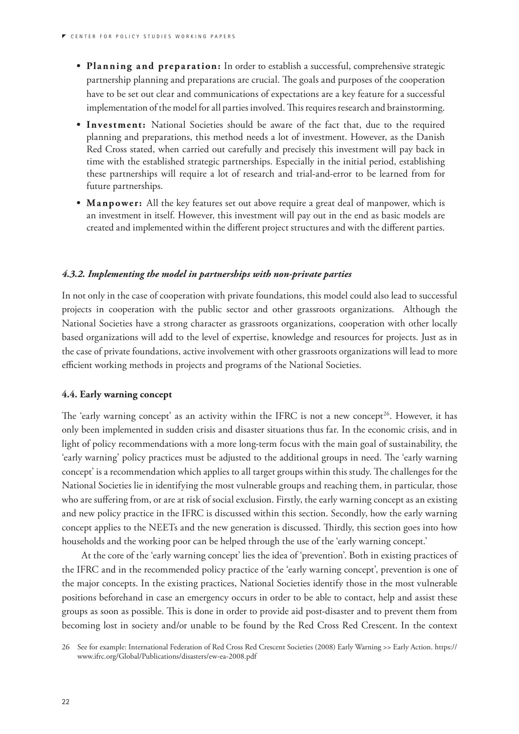- <span id="page-24-0"></span>**• Planning and preparation:** In order to establish a successful, comprehensive strategic partnership planning and preparations are crucial. The goals and purposes of the cooperation have to be set out clear and communications of expectations are a key feature for a successful implementation of the model for all parties involved. This requires research and brainstorming.
- **• Investment:** National Societies should be aware of the fact that, due to the required planning and preparations, this method needs a lot of investment. However, as the Danish Red Cross stated, when carried out carefully and precisely this investment will pay back in time with the established strategic partnerships. Especially in the initial period, establishing these partnerships will require a lot of research and trial-and-error to be learned from for future partnerships.
- **Manpower:** All the key features set out above require a great deal of manpower, which is an investment in itself. However, this investment will pay out in the end as basic models are created and implemented within the different project structures and with the different parties.

#### *4.3.2. Implementing the model in partnerships with non-private parties*

In not only in the case of cooperation with private foundations, this model could also lead to successful projects in cooperation with the public sector and other grassroots organizations. Although the National Societies have a strong character as grassroots organizations, cooperation with other locally based organizations will add to the level of expertise, knowledge and resources for projects. Just as in the case of private foundations, active involvement with other grassroots organizations will lead to more efficient working methods in projects and programs of the National Societies.

#### **4.4. Early warning concept**

The 'early warning concept' as an activity within the IFRC is not a new concept<sup>26</sup>. However, it has only been implemented in sudden crisis and disaster situations thus far. In the economic crisis, and in light of policy recommendations with a more long-term focus with the main goal of sustainability, the 'early warning' policy practices must be adjusted to the additional groups in need. The 'early warning concept' is a recommendation which applies to all target groups within this study. The challenges for the National Societies lie in identifying the most vulnerable groups and reaching them, in particular, those who are suffering from, or are at risk of social exclusion. Firstly, the early warning concept as an existing and new policy practice in the IFRC is discussed within this section. Secondly, how the early warning concept applies to the NEETs and the new generation is discussed. Thirdly, this section goes into how households and the working poor can be helped through the use of the 'early warning concept.'

At the core of the 'early warning concept' lies the idea of 'prevention'. Both in existing practices of the IFRC and in the recommended policy practice of the 'early warning concept', prevention is one of the major concepts. In the existing practices, National Societies identify those in the most vulnerable positions beforehand in case an emergency occurs in order to be able to contact, help and assist these groups as soon as possible. This is done in order to provide aid post-disaster and to prevent them from becoming lost in society and/or unable to be found by the Red Cross Red Crescent. In the context

<sup>26</sup> See for example: International Federation of Red Cross Red Crescent Societies (2008) Early Warning >> Early Action. https:// www.ifrc.org/Global/Publications/disasters/ew-ea-2008.pdf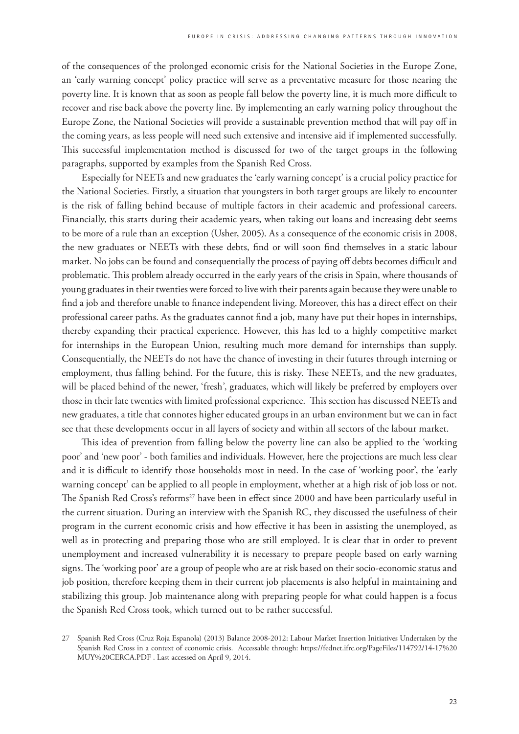of the consequences of the prolonged economic crisis for the National Societies in the Europe Zone, an 'early warning concept' policy practice will serve as a preventative measure for those nearing the poverty line. It is known that as soon as people fall below the poverty line, it is much more difficult to recover and rise back above the poverty line. By implementing an early warning policy throughout the Europe Zone, the National Societies will provide a sustainable prevention method that will pay off in the coming years, as less people will need such extensive and intensive aid if implemented successfully. This successful implementation method is discussed for two of the target groups in the following paragraphs, supported by examples from the Spanish Red Cross.

Especially for NEETs and new graduates the 'early warning concept' is a crucial policy practice for the National Societies. Firstly, a situation that youngsters in both target groups are likely to encounter is the risk of falling behind because of multiple factors in their academic and professional careers. Financially, this starts during their academic years, when taking out loans and increasing debt seems to be more of a rule than an exception (Usher, 2005). As a consequence of the economic crisis in 2008, the new graduates or NEETs with these debts, find or will soon find themselves in a static labour market. No jobs can be found and consequentially the process of paying off debts becomes difficult and problematic. This problem already occurred in the early years of the crisis in Spain, where thousands of young graduates in their twenties were forced to live with their parents again because they were unable to find a job and therefore unable to finance independent living. Moreover, this has a direct effect on their professional career paths. As the graduates cannot find a job, many have put their hopes in internships, thereby expanding their practical experience. However, this has led to a highly competitive market for internships in the European Union, resulting much more demand for internships than supply. Consequentially, the NEETs do not have the chance of investing in their futures through interning or employment, thus falling behind. For the future, this is risky. These NEETs, and the new graduates, will be placed behind of the newer, 'fresh', graduates, which will likely be preferred by employers over those in their late twenties with limited professional experience. This section has discussed NEETs and new graduates, a title that connotes higher educated groups in an urban environment but we can in fact see that these developments occur in all layers of society and within all sectors of the labour market.

This idea of prevention from falling below the poverty line can also be applied to the 'working poor' and 'new poor' - both families and individuals. However, here the projections are much less clear and it is difficult to identify those households most in need. In the case of 'working poor', the 'early warning concept' can be applied to all people in employment, whether at a high risk of job loss or not. The Spanish Red Cross's reforms<sup>27</sup> have been in effect since 2000 and have been particularly useful in the current situation. During an interview with the Spanish RC, they discussed the usefulness of their program in the current economic crisis and how effective it has been in assisting the unemployed, as well as in protecting and preparing those who are still employed. It is clear that in order to prevent unemployment and increased vulnerability it is necessary to prepare people based on early warning signs. The 'working poor' are a group of people who are at risk based on their socio-economic status and job position, therefore keeping them in their current job placements is also helpful in maintaining and stabilizing this group. Job maintenance along with preparing people for what could happen is a focus the Spanish Red Cross took, which turned out to be rather successful.

<sup>27</sup> Spanish Red Cross (Cruz Roja Espanola) (2013) Balance 2008-2012: Labour Market Insertion Initiatives Undertaken by the Spanish Red Cross in a context of economic crisis. Accessable through: [https://fednet.ifrc.org/PageFiles/114792/14-17%20](https://fednet.ifrc.org/PageFiles/114792/14-17%20MUY%20CERCA.PDF) [MUY%20CERCA.PDF](https://fednet.ifrc.org/PageFiles/114792/14-17%20MUY%20CERCA.PDF) . Last accessed on April 9, 2014.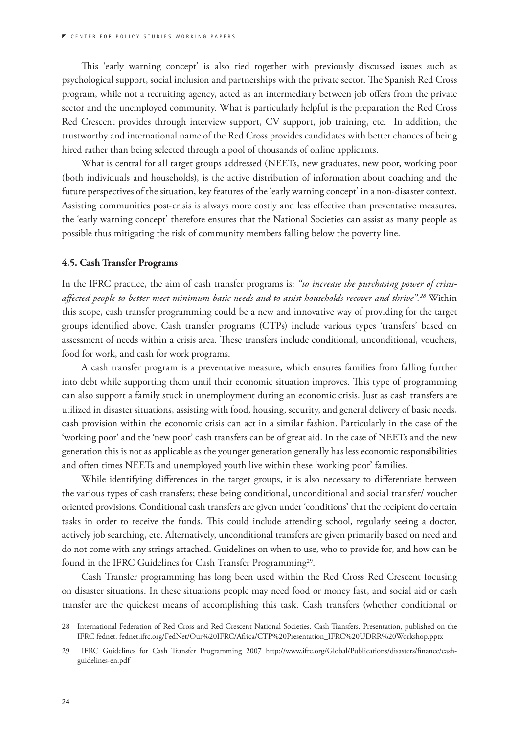<span id="page-26-0"></span>This 'early warning concept' is also tied together with previously discussed issues such as psychological support, social inclusion and partnerships with the private sector. The Spanish Red Cross program, while not a recruiting agency, acted as an intermediary between job offers from the private sector and the unemployed community. What is particularly helpful is the preparation the Red Cross Red Crescent provides through interview support, CV support, job training, etc. In addition, the trustworthy and international name of the Red Cross provides candidates with better chances of being hired rather than being selected through a pool of thousands of online applicants.

What is central for all target groups addressed (NEETs, new graduates, new poor, working poor (both individuals and households), is the active distribution of information about coaching and the future perspectives of the situation, key features of the 'early warning concept' in a non-disaster context. Assisting communities post-crisis is always more costly and less effective than preventative measures, the 'early warning concept' therefore ensures that the National Societies can assist as many people as possible thus mitigating the risk of community members falling below the poverty line.

#### **4.5. Cash Transfer Programs**

In the IFRC practice, the aim of cash transfer programs is: *"to increase the purchasing power of crisisaffected people to better meet minimum basic needs and to assist households recover and thrive".28* Within this scope, cash transfer programming could be a new and innovative way of providing for the target groups identified above. Cash transfer programs (CTPs) include various types 'transfers' based on assessment of needs within a crisis area. These transfers include conditional, unconditional, vouchers, food for work, and cash for work programs.

A cash transfer program is a preventative measure, which ensures families from falling further into debt while supporting them until their economic situation improves. This type of programming can also support a family stuck in unemployment during an economic crisis. Just as cash transfers are utilized in disaster situations, assisting with food, housing, security, and general delivery of basic needs, cash provision within the economic crisis can act in a similar fashion. Particularly in the case of the 'working poor' and the 'new poor' cash transfers can be of great aid. In the case of NEETs and the new generation this is not as applicable as the younger generation generally has less economic responsibilities and often times NEETs and unemployed youth live within these 'working poor' families.

While identifying differences in the target groups, it is also necessary to differentiate between the various types of cash transfers; these being conditional, unconditional and social transfer/ voucher oriented provisions. Conditional cash transfers are given under 'conditions' that the recipient do certain tasks in order to receive the funds. This could include attending school, regularly seeing a doctor, actively job searching, etc. Alternatively, unconditional transfers are given primarily based on need and do not come with any strings attached. Guidelines on when to use, who to provide for, and how can be found in the IFRC Guidelines for Cash Transfer Programming<sup>29</sup>.

Cash Transfer programming has long been used within the Red Cross Red Crescent focusing on disaster situations. In these situations people may need food or money fast, and social aid or cash transfer are the quickest means of accomplishing this task. Cash transfers (whether conditional or

<sup>28</sup> International Federation of Red Cross and Red Crescent National Societies. Cash Transfers. Presentation, published on the IFRC fednet. [fednet.ifrc.org/FedNet/Our%20IFRC/Africa/CTP%20Presentation\\_IFRC%20UDRR%20Workshop.pptx](http://fednet.ifrc.org/FedNet/Our%20IFRC/Africa/CTP%20Presentation_IFRC%20UDRR%20Workshop.pptx) 

<sup>29</sup> IFRC Guidelines for Cash Transfer Programming 2007 [http://www.ifrc.org/Global/Publications/disasters/finance/cash](http://www.ifrc.org/Global/Publications/disasters/finance/cash-guidelines-en.pdf)[guidelines-en.pdf](http://www.ifrc.org/Global/Publications/disasters/finance/cash-guidelines-en.pdf)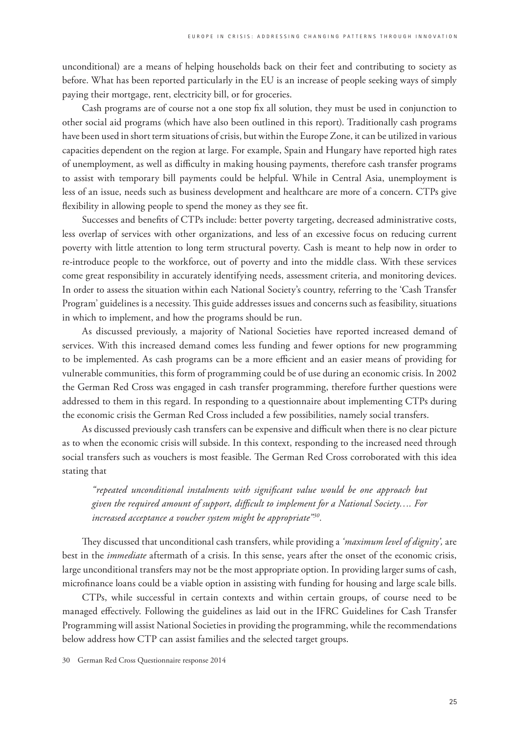unconditional) are a means of helping households back on their feet and contributing to society as before. What has been reported particularly in the EU is an increase of people seeking ways of simply paying their mortgage, rent, electricity bill, or for groceries.

Cash programs are of course not a one stop fix all solution, they must be used in conjunction to other social aid programs (which have also been outlined in this report). Traditionally cash programs have been used in short term situations of crisis, but within the Europe Zone, it can be utilized in various capacities dependent on the region at large. For example, Spain and Hungary have reported high rates of unemployment, as well as difficulty in making housing payments, therefore cash transfer programs to assist with temporary bill payments could be helpful. While in Central Asia, unemployment is less of an issue, needs such as business development and healthcare are more of a concern. CTPs give flexibility in allowing people to spend the money as they see fit.

Successes and benefits of CTPs include: better poverty targeting, decreased administrative costs, less overlap of services with other organizations, and less of an excessive focus on reducing current poverty with little attention to long term structural poverty. Cash is meant to help now in order to re-introduce people to the workforce, out of poverty and into the middle class. With these services come great responsibility in accurately identifying needs, assessment criteria, and monitoring devices. In order to assess the situation within each National Society's country, referring to the 'Cash Transfer Program' guidelines is a necessity. This guide addresses issues and concerns such as feasibility, situations in which to implement, and how the programs should be run.

As discussed previously, a majority of National Societies have reported increased demand of services. With this increased demand comes less funding and fewer options for new programming to be implemented. As cash programs can be a more efficient and an easier means of providing for vulnerable communities, this form of programming could be of use during an economic crisis. In 2002 the German Red Cross was engaged in cash transfer programming, therefore further questions were addressed to them in this regard. In responding to a questionnaire about implementing CTPs during the economic crisis the German Red Cross included a few possibilities, namely social transfers.

As discussed previously cash transfers can be expensive and difficult when there is no clear picture as to when the economic crisis will subside. In this context, responding to the increased need through social transfers such as vouchers is most feasible. The German Red Cross corroborated with this idea stating that

*"repeated unconditional instalments with significant value would be one approach but given the required amount of support, difficult to implement for a National Society…. For increased acceptance a voucher system might be appropriate"30.* 

They discussed that unconditional cash transfers, while providing a *'maximum level of dignity',* are best in the *immediate* aftermath of a crisis. In this sense, years after the onset of the economic crisis, large unconditional transfers may not be the most appropriate option. In providing larger sums of cash, microfinance loans could be a viable option in assisting with funding for housing and large scale bills.

CTPs, while successful in certain contexts and within certain groups, of course need to be managed effectively. Following the guidelines as laid out in the IFRC Guidelines for Cash Transfer Programming will assist National Societies in providing the programming, while the recommendations below address how CTP can assist families and the selected target groups.

<sup>30</sup> German Red Cross Questionnaire response 2014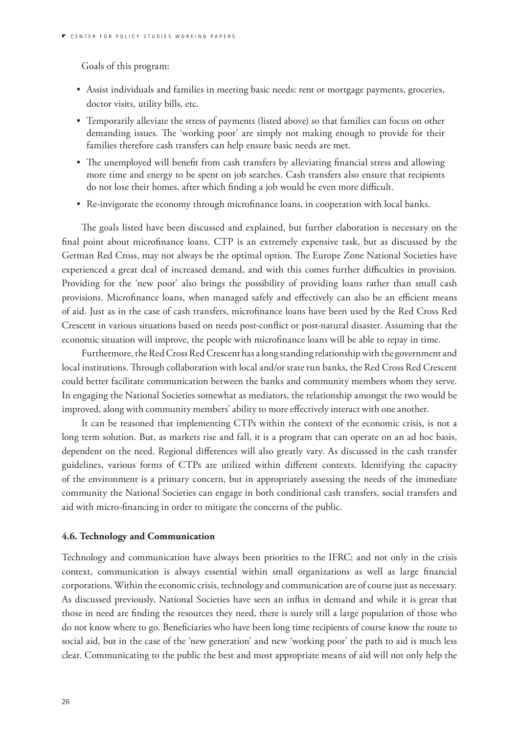<span id="page-28-0"></span>Goals of this program:

- Assist individuals and families in meeting basic needs: rent or mortgage payments, groceries, doctor visits, utility bills, etc.
- • Temporarily alleviate the stress of payments (listed above) so that families can focus on other demanding issues. The 'working poor' are simply not making enough to provide for their families therefore cash transfers can help ensure basic needs are met.
- The unemployed will benefit from cash transfers by alleviating financial stress and allowing more time and energy to be spent on job searches. Cash transfers also ensure that recipients do not lose their homes, after which finding a job would be even more difficult.
- Re-invigorate the economy through microfinance loans, in cooperation with local banks.

The goals listed have been discussed and explained, but further elaboration is necessary on the final point about microfinance loans. CTP is an extremely expensive task, but as discussed by the German Red Cross, may not always be the optimal option. The Europe Zone National Societies have experienced a great deal of increased demand, and with this comes further difficulties in provision. Providing for the 'new poor' also brings the possibility of providing loans rather than small cash provisions. Microfinance loans, when managed safely and effectively can also be an efficient means of aid. Just as in the case of cash transfers, microfinance loans have been used by the Red Cross Red Crescent in various situations based on needs post-conflict or post-natural disaster. Assuming that the economic situation will improve, the people with microfinance loans will be able to repay in time.

Furthermore, the Red Cross Red Crescent has a long standing relationship with the government and local institutions. Through collaboration with local and/or state run banks, the Red Cross Red Crescent could better facilitate communication between the banks and community members whom they serve. In engaging the National Societies somewhat as mediators, the relationship amongst the two would be improved, along with community members' ability to more effectively interact with one another.

It can be reasoned that implementing CTPs within the context of the economic crisis, is not a long term solution. But, as markets rise and fall, it is a program that can operate on an ad hoc basis, dependent on the need. Regional differences will also greatly vary. As discussed in the cash transfer guidelines, various forms of CTPs are utilized within different contexts. Identifying the capacity of the environment is a primary concern, but in appropriately assessing the needs of the immediate community the National Societies can engage in both conditional cash transfers, social transfers and aid with micro-financing in order to mitigate the concerns of the public.

#### **4.6. Technology and Communication**

Technology and communication have always been priorities to the IFRC; and not only in the crisis context, communication is always essential within small organizations as well as large financial corporations. Within the economic crisis, technology and communication are of course just as necessary. As discussed previously, National Societies have seen an influx in demand and while it is great that those in need are finding the resources they need, there is surely still a large population of those who do not know where to go. Beneficiaries who have been long time recipients of course know the route to social aid, but in the case of the 'new generation' and new 'working poor' the path to aid is much less clear. Communicating to the public the best and most appropriate means of aid will not only help the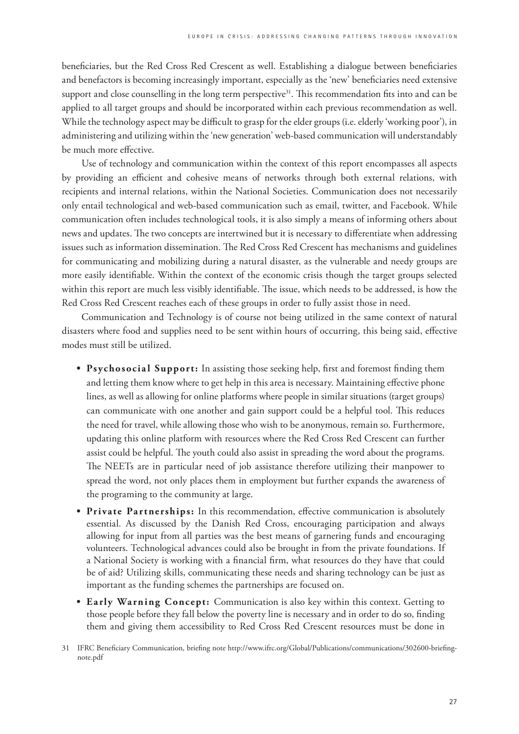beneficiaries, but the Red Cross Red Crescent as well. Establishing a dialogue between beneficiaries and benefactors is becoming increasingly important, especially as the 'new' beneficiaries need extensive support and close counselling in the long term perspective<sup>31</sup>. This recommendation fits into and can be applied to all target groups and should be incorporated within each previous recommendation as well. While the technology aspect may be difficult to grasp for the elder groups (i.e. elderly 'working poor'), in administering and utilizing within the 'new generation' web-based communication will understandably be much more effective.

Use of technology and communication within the context of this report encompasses all aspects by providing an efficient and cohesive means of networks through both external relations, with recipients and internal relations, within the National Societies. Communication does not necessarily only entail technological and web-based communication such as email, twitter, and Facebook. While communication often includes technological tools, it is also simply a means of informing others about news and updates. The two concepts are intertwined but it is necessary to differentiate when addressing issues such as information dissemination. The Red Cross Red Crescent has mechanisms and guidelines for communicating and mobilizing during a natural disaster, as the vulnerable and needy groups are more easily identifiable. Within the context of the economic crisis though the target groups selected within this report are much less visibly identifiable. The issue, which needs to be addressed, is how the Red Cross Red Crescent reaches each of these groups in order to fully assist those in need.

Communication and Technology is of course not being utilized in the same context of natural disasters where food and supplies need to be sent within hours of occurring, this being said, effective modes must still be utilized.

- **Psychosocial Support:** In assisting those seeking help, first and foremost finding them and letting them know where to get help in this area is necessary. Maintaining effective phone lines, as well as allowing for online platforms where people in similar situations (target groups) can communicate with one another and gain support could be a helpful tool. This reduces the need for travel, while allowing those who wish to be anonymous, remain so. Furthermore, updating this online platform with resources where the Red Cross Red Crescent can further assist could be helpful. The youth could also assist in spreading the word about the programs. The NEETs are in particular need of job assistance therefore utilizing their manpower to spread the word, not only places them in employment but further expands the awareness of the programing to the community at large.
- **• Private Partnerships:** In this recommendation, effective communication is absolutely essential. As discussed by the Danish Red Cross, encouraging participation and always allowing for input from all parties was the best means of garnering funds and encouraging volunteers. Technological advances could also be brought in from the private foundations. If a National Society is working with a financial firm, what resources do they have that could be of aid? Utilizing skills, communicating these needs and sharing technology can be just as important as the funding schemes the partnerships are focused on.
- **• Early Warning Concept:** Communication is also key within this context. Getting to those people before they fall below the poverty line is necessary and in order to do so, finding them and giving them accessibility to Red Cross Red Crescent resources must be done in
- 31 IFRC Beneficiary Communication, briefing note [http://www.ifrc.org/Global/Publications/communications/302600-briefing](http://www.ifrc.org/Global/Publications/communications/302600-briefing-note.pdf)[note.pdf](http://www.ifrc.org/Global/Publications/communications/302600-briefing-note.pdf)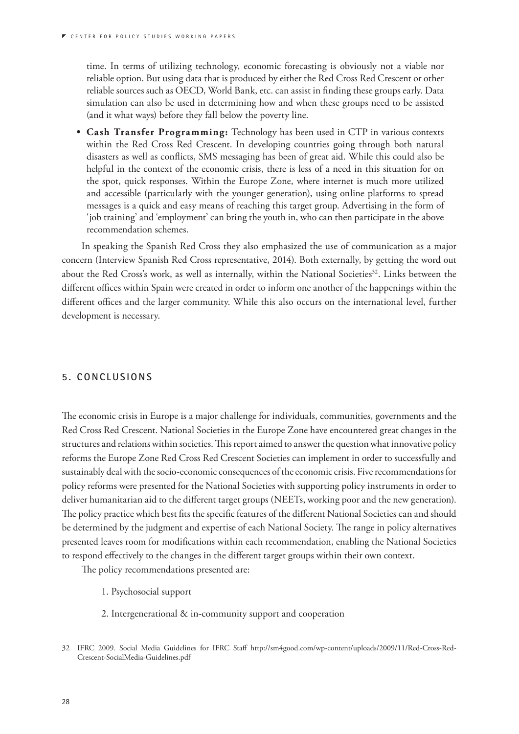<span id="page-30-0"></span>time. In terms of utilizing technology, economic forecasting is obviously not a viable nor reliable option. But using data that is produced by either the Red Cross Red Crescent or other reliable sources such as OECD, World Bank, etc. can assist in finding these groups early. Data simulation can also be used in determining how and when these groups need to be assisted (and it what ways) before they fall below the poverty line.

**• Cash Transfer Programming:** Technology has been used in CTP in various contexts within the Red Cross Red Crescent. In developing countries going through both natural disasters as well as conflicts, SMS messaging has been of great aid. While this could also be helpful in the context of the economic crisis, there is less of a need in this situation for on the spot, quick responses. Within the Europe Zone, where internet is much more utilized and accessible (particularly with the younger generation), using online platforms to spread messages is a quick and easy means of reaching this target group. Advertising in the form of 'job training' and 'employment' can bring the youth in, who can then participate in the above recommendation schemes.

In speaking the Spanish Red Cross they also emphasized the use of communication as a major concern (Interview Spanish Red Cross representative, 2014). Both externally, by getting the word out about the Red Cross's work, as well as internally, within the National Societies<sup>32</sup>. Links between the different offices within Spain were created in order to inform one another of the happenings within the different offices and the larger community. While this also occurs on the international level, further development is necessary.

## **5. CONCLUSIONS**

The economic crisis in Europe is a major challenge for individuals, communities, governments and the Red Cross Red Crescent. National Societies in the Europe Zone have encountered great changes in the structures and relations within societies. This report aimed to answer the question what innovative policy reforms the Europe Zone Red Cross Red Crescent Societies can implement in order to successfully and sustainably deal with the socio-economic consequences of the economic crisis. Five recommendations for policy reforms were presented for the National Societies with supporting policy instruments in order to deliver humanitarian aid to the different target groups (NEETs, working poor and the new generation). The policy practice which best fits the specific features of the different National Societies can and should be determined by the judgment and expertise of each National Society. The range in policy alternatives presented leaves room for modifications within each recommendation, enabling the National Societies to respond effectively to the changes in the different target groups within their own context.

The policy recommendations presented are:

- 1. Psychosocial support
- 2. Intergenerational & in-community support and cooperation

<sup>32</sup> IFRC 2009. Social Media Guidelines for IFRC Staff [http://sm4good.com/wp-content/uploads/2009/11/Red-Cross-Red-](http://sm4good.com/wp-content/uploads/2009/11/Red-Cross-Red-Crescent-SocialMedia-Guidelines.pdf)[Crescent-SocialMedia-Guidelines.pdf](http://sm4good.com/wp-content/uploads/2009/11/Red-Cross-Red-Crescent-SocialMedia-Guidelines.pdf)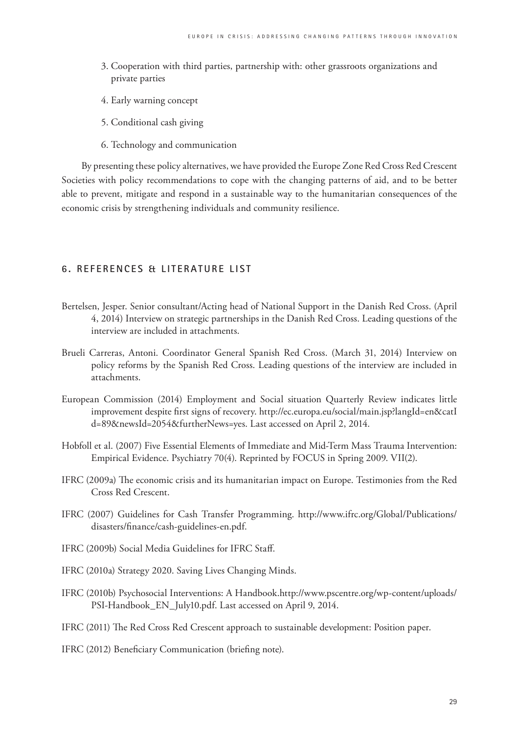- <span id="page-31-0"></span>3. Cooperation with third parties, partnership with: other grassroots organizations and private parties
- 4. Early warning concept
- 5. Conditional cash giving
- 6. Technology and communication

By presenting these policy alternatives, we have provided the Europe Zone Red Cross Red Crescent Societies with policy recommendations to cope with the changing patterns of aid, and to be better able to prevent, mitigate and respond in a sustainable way to the humanitarian consequences of the economic crisis by strengthening individuals and community resilience.

# **6. REFERENCES & LITERATURE LIST**

- Bertelsen, Jesper. Senior consultant/Acting head of National Support in the Danish Red Cross. (April 4, 2014) Interview on strategic partnerships in the Danish Red Cross. Leading questions of the interview are included in attachments.
- Brueli Carreras, Antoni. Coordinator General Spanish Red Cross. (March 31, 2014) Interview on policy reforms by the Spanish Red Cross. Leading questions of the interview are included in attachments.
- European Commission (2014) Employment and Social situation Quarterly Review indicates little improvement despite first signs of recovery. [http://ec.europa.eu/social/main.jsp?langId=en&catI](http://ec.europa.eu/social/main.jsp?langId=en&catId=89&newsId=2054&furtherNews=yes) [d=89&newsId=2054&furtherNews=yes](http://ec.europa.eu/social/main.jsp?langId=en&catId=89&newsId=2054&furtherNews=yes). Last accessed on April 2, 2014.
- Hobfoll et al. (2007) Five Essential Elements of Immediate and Mid-Term Mass Trauma Intervention: Empirical Evidence. Psychiatry 70(4). Reprinted by FOCUS in Spring 2009. VII(2).
- IFRC (2009a) The economic crisis and its humanitarian impact on Europe. Testimonies from the Red Cross Red Crescent.
- IFRC (2007) Guidelines for Cash Transfer Programming. http://www.ifrc.org/Global/Publications/ disasters/finance/cash-guidelines-en.pdf.
- IFRC (2009b) Social Media Guidelines for IFRC Staff.
- IFRC (2010a) Strategy 2020. Saving Lives Changing Minds.
- IFRC (2010b) Psychosocial Interventions: A Handbook.[http://www.pscentre.org/wp-content/uploads/](http://www.pscentre.org/wp-content/uploads/PSI-Handbook_EN_July10.pdf) [PSI-Handbook\\_EN\\_July10.pdf](http://www.pscentre.org/wp-content/uploads/PSI-Handbook_EN_July10.pdf). Last accessed on April 9, 2014.
- IFRC (2011) The Red Cross Red Crescent approach to sustainable development: Position paper.
- IFRC (2012) Beneficiary Communication (briefing note).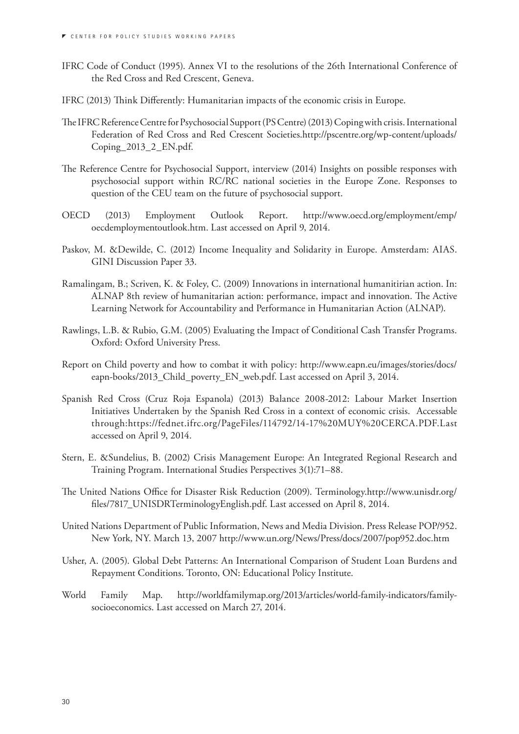- IFRC Code of Conduct (1995). Annex VI to the resolutions of the 26th International Conference of the Red Cross and Red Crescent, Geneva.
- IFRC (2013) Think Differently: Humanitarian impacts of the economic crisis in Europe.
- The IFRC Reference Centre for Psychosocial Support (PS Centre) (2013) Coping with crisis. International Federation of Red Cross and Red Crescent Societies[.http://pscentre.org/wp-content/uploads/](http://pscentre.org/wp-content/uploads/Coping_2013_2_EN.pdf) [Coping\\_2013\\_2\\_EN.pdf.](http://pscentre.org/wp-content/uploads/Coping_2013_2_EN.pdf)
- The Reference Centre for Psychosocial Support, interview (2014) Insights on possible responses with psychosocial support within RC/RC national societies in the Europe Zone. Responses to question of the CEU team on the future of psychosocial support.
- OECD (2013) Employment Outlook Report. [http://www.oecd.org/employment/emp/](http://www.oecd.org/employment/emp/oecdemploymentoutlook.htm) [oecdemploymentoutlook.htm](http://www.oecd.org/employment/emp/oecdemploymentoutlook.htm). Last accessed on April 9, 2014.
- Paskov, M. &Dewilde, C. (2012) Income Inequality and Solidarity in Europe. Amsterdam: AIAS. GINI Discussion Paper 33.
- Ramalingam, B.; Scriven, K. & Foley, C. (2009) Innovations in international humanitirian action. In: ALNAP 8th review of humanitarian action: performance, impact and innovation. The Active Learning Network for Accountability and Performance in Humanitarian Action (ALNAP).
- Rawlings, L.B. & Rubio, G.M. (2005) Evaluating the Impact of Conditional Cash Transfer Programs. Oxford: Oxford University Press.
- Report on Child poverty and how to combat it with policy: http://www.eapn.eu/images/stories/docs/ eapn-books/2013\_Child\_poverty\_EN\_web.pdf. Last accessed on April 3, 2014.
- Spanish Red Cross (Cruz Roja Espanola) (2013) Balance 2008-2012: Labour Market Insertion Initiatives Undertaken by the Spanish Red Cross in a context of economic crisis. Accessable through:<https://fednet.ifrc.org/PageFiles/114792/14-17%20MUY%20CERCA.PDF>.Last accessed on April 9, 2014.
- Stern, E. &Sundelius, B. (2002) Crisis Management Europe: An Integrated Regional Research and Training Program. International Studies Perspectives 3(1):71–88.
- The United Nations Office for Disaster Risk Reduction (2009). Terminology[.http://www.unisdr.org/](http://www.unisdr.org/files/7817_UNISDRTerminologyEnglish.pdf) [files/7817\\_UNISDRTerminologyEnglish.pdf.](http://www.unisdr.org/files/7817_UNISDRTerminologyEnglish.pdf) Last accessed on April 8, 2014.
- United Nations Department of Public Information, News and Media Division. Press Release POP/952. New York, NY. March 13, 2007 <http://www.un.org/News/Press/docs/2007/pop952.doc.htm>
- Usher, A. (2005). Global Debt Patterns: An International Comparison of Student Loan Burdens and Repayment Conditions. Toronto, ON: Educational Policy Institute.
- World Family Map. http://worldfamilymap.org/2013/articles/world-family-indicators/familysocioeconomics. Last accessed on March 27, 2014.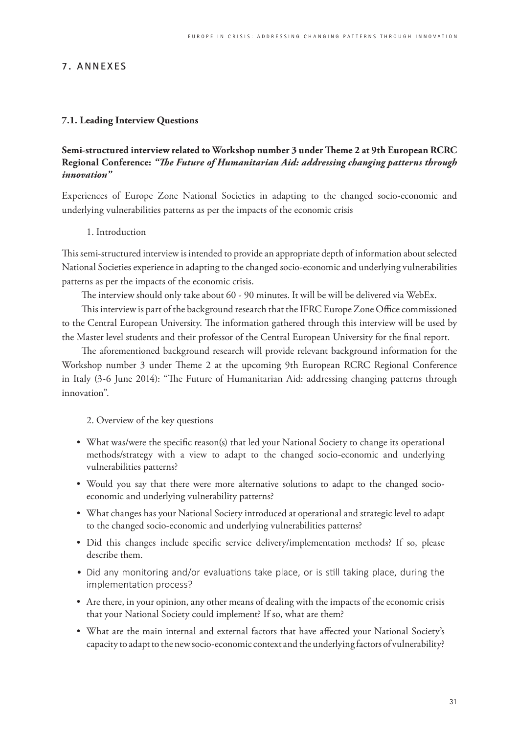## <span id="page-33-0"></span>**7. ANNEXES**

#### **7.1. Leading Interview Questions**

# **Semi-structured interview related to Workshop number 3 under Theme 2 at 9th European RCRC Regional Conference:** *"The Future of Humanitarian Aid: addressing changing patterns through innovation"*

Experiences of Europe Zone National Societies in adapting to the changed socio-economic and underlying vulnerabilities patterns as per the impacts of the economic crisis

1. Introduction

This semi-structured interview is intended to provide an appropriate depth of information about selected National Societies experience in adapting to the changed socio-economic and underlying vulnerabilities patterns as per the impacts of the economic crisis.

The interview should only take about 60 - 90 minutes. It will be will be delivered via WebEx.

This interview is part of the background research that the IFRC Europe Zone Office commissioned to the Central European University. The information gathered through this interview will be used by the Master level students and their professor of the Central European University for the final report.

The aforementioned background research will provide relevant background information for the Workshop number 3 under Theme 2 at the upcoming 9th European RCRC Regional Conference in Italy (3-6 June 2014): "The Future of Humanitarian Aid: addressing changing patterns through innovation".

# 2. Overview of the key questions

- What was/were the specific reason(s) that led your National Society to change its operational methods/strategy with a view to adapt to the changed socio-economic and underlying vulnerabilities patterns?
- Would you say that there were more alternative solutions to adapt to the changed socioeconomic and underlying vulnerability patterns?
- • What changes has your National Society introduced at operational and strategic level to adapt to the changed socio-economic and underlying vulnerabilities patterns?
- • Did this changes include specific service delivery/implementation methods? If so, please describe them.
- Did any monitoring and/or evaluations take place, or is still taking place, during the implementation process?
- Are there, in your opinion, any other means of dealing with the impacts of the economic crisis that your National Society could implement? If so, what are them?
- What are the main internal and external factors that have affected your National Society's capacity to adapt to the new socio-economic context and the underlying factors of vulnerability?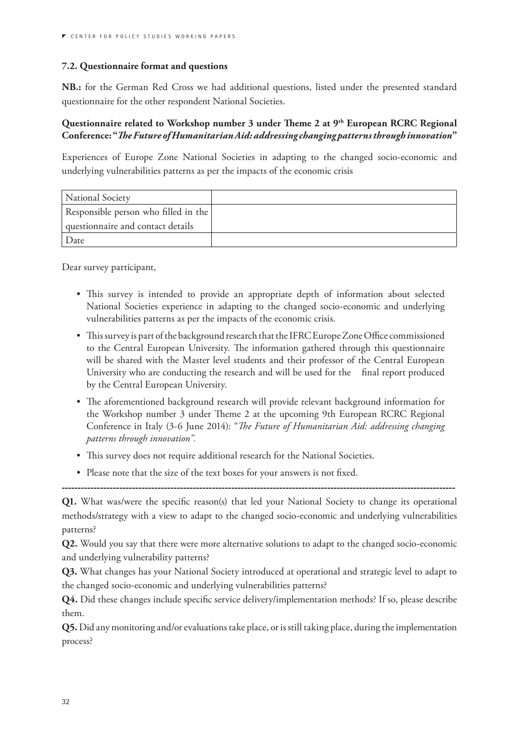# <span id="page-34-0"></span>**7.2. Questionnaire format and questions**

**NB.:** for the German Red Cross we had additional questions, listed under the presented standard questionnaire for the other respondent National Societies.

# Questionnaire related to Workshop number 3 under Theme 2 at <sup>9th</sup> European RCRC Regional **Conference: "***The Future of Humanitarian Aid: addressing changing patterns through innovation***"**

Experiences of Europe Zone National Societies in adapting to the changed socio-economic and underlying vulnerabilities patterns as per the impacts of the economic crisis

| National Society                     |  |
|--------------------------------------|--|
| Responsible person who filled in the |  |
| questionnaire and contact details    |  |
| Date                                 |  |

Dear survey participant,

- This survey is intended to provide an appropriate depth of information about selected National Societies experience in adapting to the changed socio-economic and underlying vulnerabilities patterns as per the impacts of the economic crisis.
- • This survey is part of the background research that the IFRC Europe Zone Office commissioned to the Central European University. The information gathered through this questionnaire will be shared with the Master level students and their professor of the Central European University who are conducting the research and will be used for the final report produced by the Central European University.
- The aforementioned background research will provide relevant background information for the Workshop number 3 under Theme 2 at the upcoming 9th European RCRC Regional Conference in Italy (3-6 June 2014): "*The Future of Humanitarian Aid: addressing changing patterns through innovation".*
- This survey does not require additional research for the National Societies.
- Please note that the size of the text boxes for your answers is not fixed.

**--------------------------------------------------------------------------------------------------------------------------- Q1.** What was/were the specific reason(s) that led your National Society to change its operational methods/strategy with a view to adapt to the changed socio-economic and underlying vulnerabilities patterns?

**Q2.** Would you say that there were more alternative solutions to adapt to the changed socio-economic and underlying vulnerability patterns?

**Q3.** What changes has your National Society introduced at operational and strategic level to adapt to the changed socio-economic and underlying vulnerabilities patterns?

**Q4.** Did these changes include specific service delivery/implementation methods? If so, please describe them.

**Q5.** Did any monitoring and/or evaluations take place, or is still taking place, during the implementation process?